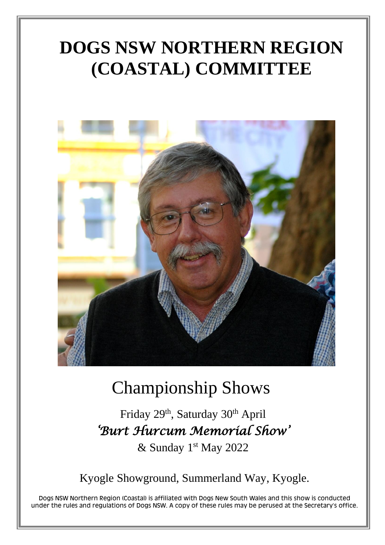# **DOGS NSW NORTHERN REGION** (COASTAL) COMMITTEE



# **Championship Shows**

Friday 29th, Saturday 30th April 'Burt Hurcum Memorial Show'

& Sunday 1st May 2022

Kyogle Showground, Summerland Way, Kyogle.

Dogs NSW Northern Region (Coastal) is affiliated with Dogs New South Wales and this show is conducted under the rules and regulations of Dogs NSW. A copy of these rules may be perused at the Secretary's office.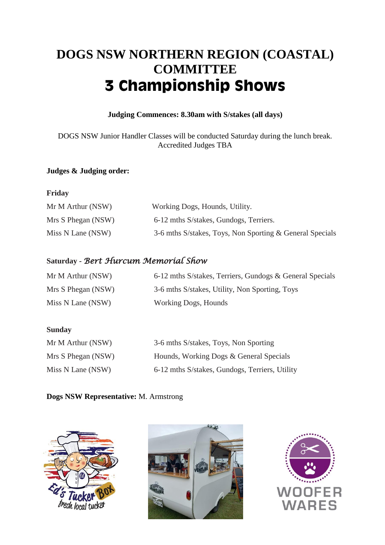# DOGS NSW NORTHERN REGION (COASTAL) **COMMITTEE 3 Championship Shows**

# Judging Commences: 8.30am with S/stakes (all days)

DOGS NSW Junior Handler Classes will be conducted Saturday during the lunch break. **Accredited Judges TBA** 

# Judges & Judging order:

# Friday

| Mr M Arthur (NSW)  | Working Dogs, Hounds, Utility.                           |
|--------------------|----------------------------------------------------------|
| Mrs S Phegan (NSW) | 6-12 mths S/stakes, Gundogs, Terriers.                   |
| Miss N Lane (NSW)  | 3-6 mths S/stakes, Toys, Non Sporting & General Specials |

# Saturday - Bert Hurcum Memoríal Show

| Mr M Arthur (NSW)  | 6-12 mths S/stakes, Terriers, Gundogs & General Specials |
|--------------------|----------------------------------------------------------|
| Mrs S Phegan (NSW) | 3-6 mths S/stakes, Utility, Non Sporting, Toys           |
| Miss N Lane (NSW)  | Working Dogs, Hounds                                     |

# **Sunday**

| Mr M Arthur (NSW)  | 3-6 mths S/stakes, Toys, Non Sporting          |
|--------------------|------------------------------------------------|
| Mrs S Phegan (NSW) | Hounds, Working Dogs & General Specials        |
| Miss N Lane (NSW)  | 6-12 mths S/stakes, Gundogs, Terriers, Utility |

# Dogs NSW Representative: M. Armstrong





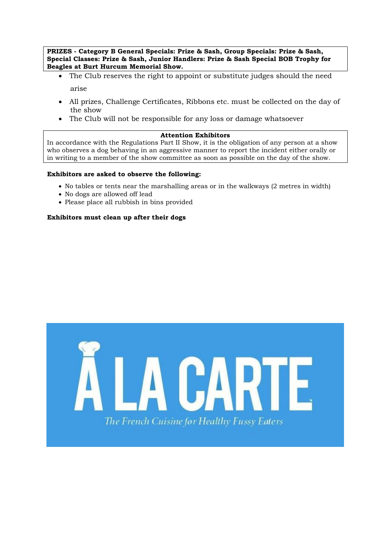PRIZES - Category B General Specials: Prize & Sash, Group Specials: Prize & Sash, Special Classes: Prize & Sash, Junior Handlers: Prize & Sash Special BOB Trophy for Beagles at Burt Hurcum Memorial Show.

- The Club reserves the right to appoint or substitute judges should the need  $\bullet$ arise
- All prizes, Challenge Certificates, Ribbons etc. must be collected on the day of  $\bullet$ the show
- The Club will not be responsible for any loss or damage whatsoever

### **Attention Exhibitors**

In accordance with the Regulations Part II Show, it is the obligation of any person at a show who observes a dog behaving in an aggressive manner to report the incident either orally or in writing to a member of the show committee as soon as possible on the day of the show.

#### Exhibitors are asked to observe the following:

- No tables or tents near the marshalling areas or in the walkways (2 metres in width)
- No dogs are allowed off lead
- Please place all rubbish in bins provided

#### Exhibitors must clean up after their dogs

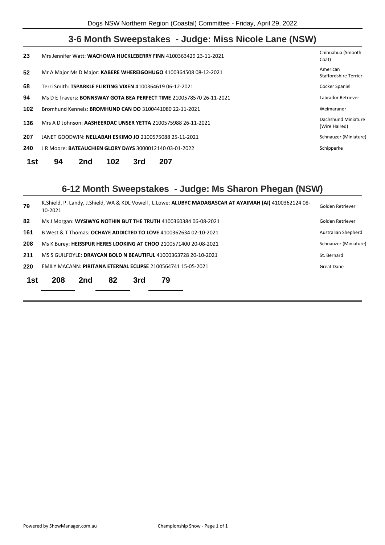# **3-6 Month Sweepstakes - Judge: Miss Nicole Lane (NSW)**

| 23               | Mrs Jennifer Watt: WACHOWA HUCKLEBERRY FINN 4100363429 23-11-2021           | Chihuahua (Smooth<br>Coat)           |
|------------------|-----------------------------------------------------------------------------|--------------------------------------|
| $52\phantom{.0}$ | Mr A Major Ms D Major: KABERE WHEREIGOHUGO 4100364508 08-12-2021            | American<br>Staffordshire Terrier    |
| 68               | Terri Smith: TSPARKLE FLIRTING VIXEN 4100364619 06-12-2021                  | Cocker Spaniel                       |
| 94               | Ms D E Travers: <b>BONNSWAY GOTA BEA PERFECT TIME</b> 2100578570 26-11-2021 | Labrador Retriever                   |
| 102              | Bromhund Kennels: <b>BROMHUND CAN DO</b> 3100441080 22-11-2021              | Weimaraner                           |
| 136              | Mrs A D Johnson: AASHEERDAC UNSER YETTA 2100575988 26-11-2021               | Dachshund Miniature<br>(Wire Haired) |
| 207              | JANET GOODWIN: NELLABAH ESKIMO JO 2100575088 25-11-2021                     | Schnauzer (Miniature)                |
| 240              | J R Moore: <b>BATEAUCHIEN GLORY DAYS</b> 3000012140 03-01-2022              | Schipperke                           |
| 1st              | 94<br>102<br>207<br>3rd<br>2nd                                              |                                      |

# **6-12 Month Sweepstakes - Judge: Ms Sharon Phegan (NSW)**

| 79  | 10-2021                                                          | K.Shield, P. Landy, J.Shield, WA & KDL Vowell, L.Lowe: ALUBYC MADAGASCAR AT AYAIMAH (AI) 4100362124 08- |    |     |    |  |  |  |  |  |
|-----|------------------------------------------------------------------|---------------------------------------------------------------------------------------------------------|----|-----|----|--|--|--|--|--|
| 82  |                                                                  | Ms J Morgan: WYSIWYG NOTHIN BUT THE TRUTH 4100360384 06-08-2021                                         |    |     |    |  |  |  |  |  |
| 161 | B West & T Thomas: OCHAYE ADDICTED TO LOVE 4100362634 02-10-2021 | Australian Shepherd                                                                                     |    |     |    |  |  |  |  |  |
| 208 | Ms K Burey: HEISSPUR HERES LOOKING AT CHOO 2100571400 20-08-2021 |                                                                                                         |    |     |    |  |  |  |  |  |
| 211 | MS S GUILFOYLE: DRAYCAN BOLD N BEAUTIFUL 41000363728 20-10-2021  |                                                                                                         |    |     |    |  |  |  |  |  |
| 220 | EMILY MACANN: PIRITANA ETERNAL ECLIPSE 2100564741 15-05-2021     |                                                                                                         |    |     |    |  |  |  |  |  |
| 1st | 208                                                              | 2nd                                                                                                     | 82 | 3rd | 79 |  |  |  |  |  |
|     |                                                                  |                                                                                                         |    |     |    |  |  |  |  |  |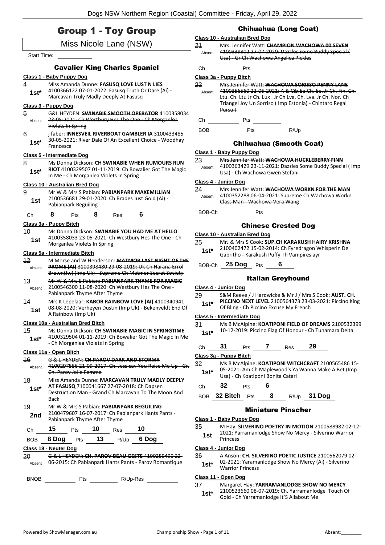| <b>Group 1 - Toy Group</b> |  |  |  |  |
|----------------------------|--|--|--|--|
|----------------------------|--|--|--|--|

# Miss Nicole Lane (NSW)

#### Start Time:

#### Cavalier King Charles Spaniel

#### **Class 1 - Baby Puppy Dog**

4 Miss Amanda Dunne: **FASUSQ LOVE LUST N LIES** 4100366122 07-01-2022: Fasusq Truth Or Dare (Ai) - **1st** 4100366122 07-01-2022: Fasusq Truth C<br>Marcavan Truly Madly Deeply At Fasusq

#### **Class 3 - Puppy Dog**

- 5 G&L HEYDEN: **SWINABIE SMOOTH OPERATOR** 4100358034 23-05-2021: Ch Westbury Hes The One - Ch Morganlea Violets In Spring Absent
- 6 j faber: **INNESVEIL RIVERBOAT GAMBLER IA** 3100433485 30-05-2021: River Dale Of An Excellent Choice - Woodhay Francesca **1st\***

#### **Class 5 - Intermediate Dog**

8 Ms Donna Dickson: **CH SWINABIE WHEN RUMOURS RUN RIOT** 4100329507 01-11-2019: Ch Bowalier Got The Magic **1st\* NOI** 4100329507 01-11-2019: Ch Bow<br>In Me - Ch Morganlea Violets In Spring

#### **Class 10 - Australian Bred Dog**

- 9 Mr W & Mrs S Pabian: **PABIANPARK MAXEMILLIAN** 2100536681 29-01-2020: Ch Brades Just Gold (Ai) - Pabianpark Beguiling **1st**
- Ch **8** Pts **8** Res **6**

#### **Class 3a - Puppy Bitch**

10 Ms Donna Dickson: **SWINABIE YOU HAD ME AT HELLO** 4100358033 23-05-2021: Ch Westbury Hes The One - Ch **1st** <sup>4100358033</sup><br>Morganlea Violets In Spring

#### **Class 5a - Intermediate Bitch**

- 12 M Morse and W Henderson: **MATMOR LAST NIGHT OF THE PROMS (AI)** 3100398480 29-08-2019: Uk Ch Harana Errol Brown(Jw) (Imp Uk) - Supreme Ch Matmor Secret Society Absent
- 13 Mr W & Mrs S Pabian: **PABIANPARK THYME FOR MAGIC** 2100546300 11-08-2020: Ch Westbury Hes The One - Pabianpark Thyme After Thyme Absent
- 14 Mrs K Lepelaar: **KABOB RAINBOW LOVE (AI)** 4100340941 08-08-2020: Verheyen Dustin (Imp Uk) - Bekenveldt End Of **1st** U<sub>0</sub>-06-2020: Verney

#### **Class 10a - Australian Bred Bitch**

15 Ms Donna Dickson: **CH SWINABIE MAGIC IN SPRINGTIME** 4100329504 01-11-2019: Ch Bowalier Got The Magic In Me - Ch Morganlea Violets In Spring **1st\***

#### **Class 11a - Open Bitch**

| Absent     | <u>ru daray nark ann i</u><br>4100297556 21-09-2017: Ch. Jessicav You Raise Me Up<br>. Parov Jolie Femme                                                    |     |    |                                   |                                           |  |  |  |  |  |  |
|------------|-------------------------------------------------------------------------------------------------------------------------------------------------------------|-----|----|-----------------------------------|-------------------------------------------|--|--|--|--|--|--|
| 18<br>1st* | Miss Amanda Dunne: MARCAVAN TRULY MADLY DEEPLY<br>AT FASUSQ 7100041667 27-07-2018: Ch Dapsen<br>Destruction Man - Grand Ch Marcavan To The Moon And<br>Back |     |    |                                   |                                           |  |  |  |  |  |  |
| 19         |                                                                                                                                                             |     |    |                                   | Mr W & Mrs S Pabian: PABIANPARK BEGUILING |  |  |  |  |  |  |
| 2nd        | 2100479607 16-07-2017: Ch Pabianpark Hants Pants -<br>Pabianpark Thyme After Thyme                                                                          |     |    |                                   |                                           |  |  |  |  |  |  |
| Сh         | 15                                                                                                                                                          | Pts | 10 | Res                               | 10                                        |  |  |  |  |  |  |
| BOB        | 8 Doq                                                                                                                                                       | Pts | 13 | R/Up                              | 6 Doa                                     |  |  |  |  |  |  |
|            | Class 18 - Neuter Dog                                                                                                                                       |     |    |                                   |                                           |  |  |  |  |  |  |
|            |                                                                                                                                                             |     |    | EVDEN: CH DAROV REALLGESTE 41     |                                           |  |  |  |  |  |  |
| Absent     |                                                                                                                                                             |     |    | 6-2015: Ch Pabianpark Hants Pants | Darov Ro                                  |  |  |  |  |  |  |

BNOB Pts R/Up-Res

#### Chihuahua (Long Coat)

|              | Class 10 - Australian Bred Dog                                    |                                                                                                                                 |
|--------------|-------------------------------------------------------------------|---------------------------------------------------------------------------------------------------------------------------------|
| 21<br>Absent | Usa) - Gr Ch Wachowa Angelica Pickles                             | Mrs. Jennifer Watt: CHAMPION WACHOWA OO SEVEN<br>4100339802 27-07-2020: Dazzles Some Buddy Special (                            |
| Сh           | Pts                                                               |                                                                                                                                 |
|              | Class 3a - Puppy Bitch                                            |                                                                                                                                 |
| 22           |                                                                   | Mrs Jennifer Watt: WACHOWA SORISSO PENNY LANE                                                                                   |
| Absent       | Triangel Joy Un Sorriso (Imp Estonia) - Chintaro Regal<br>Pursuit | 4100356560 22 06 2021: A & Cib.Ee.Ch. Ee. Jr Ch. Fin. Ch.<br><u> Hu. Ch. Hu Ir Ch. Lux . Ir Ch Lva. Ch. Lva. Ir Ch. Nor. Ch</u> |
| Сh           | Pts                                                               |                                                                                                                                 |
| BOB          | Pts                                                               | R/Up                                                                                                                            |
|              |                                                                   | -                                                                                                                               |

#### Chihuahua (Smooth Coat)

#### **Class 1 - Baby Puppy Dog** 23 Mrs Jennifer Watt: **WACHOWA HUCKLEBERRY FINN** 4100363429 23-11-2021: Dazzles Some Buddy Special ( Imp Usa) - Ch Wachowa Gwen Stefani Absent **Class 4 - Junior Dog** 24 Mrs Jennifer Watt: **WACHOWA WORKN FOR THE MAN** 4100352288 06-04-2021: Supreme Ch Wachowa Workn Class Man - Wachowa Vera Wang Absent BOB-Ch Pts Chinese Crested Dog **Class 10 - Australian Bred Dog** 25 MrJ & Mrs S Cook: **SUP.CH KARAKUSH HAIRY KRISHNA** 2100402472 15-02-2014: Ch Fyredragon Whisperin De Gabritho - Karakush Puffy Th Vampireslayr **1st\*** BOB-Ch **25 Dog** Pts **6** Italian Greyhound **Class 4 - Junior Dog** 29 S&M Reeve / J Hardwicke & Mr J / Mrs S Cook: **AUST. CH. PICCINO NEXT LEVEL** 2100564373 23-03-2021: Piccino King **1st\*** PICCINO NEXT LEVEL 2100564373 23-0<br>Of Bling - Ch Piccino Excuse My French **Class 5 - Intermediate Dog**

- 31 Ms B McAlpine: **KOATIPONI FIELD OF DREAMS** 2100532399
- 1st\* 10-12-2019: Piccino Flag Of Honour Ch Tunamara Delta
- Ch **31** Pts **7** Res **29**

#### **Class 3a - Puppy Bitch**

32 Ms B McAlpine: **KOATIPONI WITCHCRAFT** 2100565486 15- 05-2021: Am Ch Maplewood's Ya Wanna Make A Bet (Imp 1st\* Us-2021: Am Ch Maplewood's Ya<br>Usa) - Ch Koatiponi Bonita Catari

Ch **32** Pts **6**

BOB **32 Bitch** Pts **8** R/Up **31 Dog**

#### Miniature Pinscher

#### **Class 1 - Baby Puppy Dog**

- 35 M Hay: **SILVERINO POETRY IN MOTION** 2100588982 02-12- 2021: Yarramanlodge Show No Mercy - Silverino Warrior
- 1st <sup>2021: 18</sup>

#### **Class 4 - Junior Dog**

- 36 A Anson: **CH. SILVERINO POETIC JUSTICE** 2100562079 02-
- 02-2021: Yaramanlodge Show No Mercy (Ai) Silverino Warrior Princess **1st\***

#### **Class 11 - Open Dog**

#### 37 Margaret Hay: **YARRAMANLODGE SHOW NO MERCY**

2100523660 08-07-2019: Ch. Yarramanlodge Touch Of Gold - Ch Yarramanlodge It'S Allabout Me **1st\***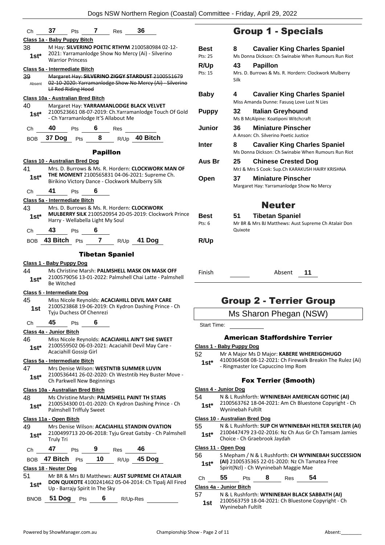| Ch            |                                                                                                                                          |                               | <b>37</b> Pts <b>7</b>           | Res                    | - 36                                                                                                                                                    |  |  |  |  |  |
|---------------|------------------------------------------------------------------------------------------------------------------------------------------|-------------------------------|----------------------------------|------------------------|---------------------------------------------------------------------------------------------------------------------------------------------------------|--|--|--|--|--|
|               | Class 1a - Baby Puppy Bitch                                                                                                              |                               |                                  |                        |                                                                                                                                                         |  |  |  |  |  |
| 38<br>1st*    | M Hay: SILVERINO POETIC RTHYM 2100580984 02-12-<br>2021: Yarramanlodge Show No Mercy (Ai) - Silverino<br><b>Warrior Princess</b>         |                               |                                  |                        |                                                                                                                                                         |  |  |  |  |  |
|               | Class 5a - Intermediate Bitch                                                                                                            |                               |                                  |                        |                                                                                                                                                         |  |  |  |  |  |
| 39<br>Absent  | Margaret Hay: SILVERINO ZIGGY STARDUST 2100551679<br>02-10-2020: Yarramanlodge Show No Mercy (Ai) - Silverino<br>Lil Red Riding Hood     |                               |                                  |                        |                                                                                                                                                         |  |  |  |  |  |
|               | Class 10a - Australian Bred Bitch                                                                                                        |                               |                                  |                        |                                                                                                                                                         |  |  |  |  |  |
| 40<br>1st*    | Margaret Hay: YARRAMANLODGE BLACK VELVET<br>2100523661 08-07-2019: Ch.Yarramanlodge Touch Of Gold<br>- Ch Yarramanlodge It'S Allabout Me |                               |                                  |                        |                                                                                                                                                         |  |  |  |  |  |
| Ch            | 40                                                                                                                                       | Pts                           | 6                                | Res                    |                                                                                                                                                         |  |  |  |  |  |
| <b>BOB</b>    | 37 Dog                                                                                                                                   | Pts                           | 8.                               |                        | R/Up 40 Bitch                                                                                                                                           |  |  |  |  |  |
|               |                                                                                                                                          |                               | <b>Papillon</b>                  |                        |                                                                                                                                                         |  |  |  |  |  |
|               | Class 10 - Australian Bred Dog                                                                                                           |                               |                                  |                        |                                                                                                                                                         |  |  |  |  |  |
| 41<br>1st*    |                                                                                                                                          |                               |                                  |                        | Mrs. D. Burrows & Ms. R. Hordern: CLOCKWORK MAN OF<br>THE MOMENT 2100565831 04-06-2021: Supreme Ch.<br>Birikino Victory Dance - Clockwork Mulberry Silk |  |  |  |  |  |
| Ch            | 41                                                                                                                                       | Pts                           | 6                                |                        |                                                                                                                                                         |  |  |  |  |  |
|               | Class 5a - Intermediate Bitch                                                                                                            |                               |                                  |                        |                                                                                                                                                         |  |  |  |  |  |
| 43            |                                                                                                                                          |                               |                                  |                        | Mrs. D. Burrows & Ms. R. Hordern: CLOCKWORK                                                                                                             |  |  |  |  |  |
| 1st*          |                                                                                                                                          |                               | Harry - Wellabella Light My Soul |                        | <b>MULBERRY SILK</b> 2100520954 20-05-2019: Clockwork Prince                                                                                            |  |  |  |  |  |
| Ch            | 43                                                                                                                                       | <b>Pts</b>                    | 6                                |                        |                                                                                                                                                         |  |  |  |  |  |
| BOB           |                                                                                                                                          |                               |                                  |                        | 43 Bitch Pts 7 R/Up 41 Dog                                                                                                                              |  |  |  |  |  |
|               |                                                                                                                                          |                               |                                  |                        |                                                                                                                                                         |  |  |  |  |  |
|               |                                                                                                                                          |                               |                                  | <b>Tibetan Spaniel</b> |                                                                                                                                                         |  |  |  |  |  |
|               | Class 1 - Baby Puppy Dog                                                                                                                 |                               |                                  |                        |                                                                                                                                                         |  |  |  |  |  |
| 44            |                                                                                                                                          |                               |                                  |                        | Ms Christine Marsh: PALMSHELL MASK ON MASK OFF<br>2100579056 13-01-2022: Palmshell Chai Latte - Palmshell                                               |  |  |  |  |  |
| $1st*$        | <b>Be Witched</b>                                                                                                                        |                               |                                  |                        |                                                                                                                                                         |  |  |  |  |  |
|               | Class 5 - Intermediate Dog                                                                                                               |                               |                                  |                        |                                                                                                                                                         |  |  |  |  |  |
| 45            |                                                                                                                                          |                               |                                  |                        | Miss Nicole Reynolds: ACACIAHILL DEVIL MAY CARE                                                                                                         |  |  |  |  |  |
| 1st           |                                                                                                                                          |                               |                                  |                        | 2100523868 19-06-2019: Ch Kydron Dashing Prince - Ch                                                                                                    |  |  |  |  |  |
|               |                                                                                                                                          |                               | Tyju Duchess Of Chenrezi         |                        |                                                                                                                                                         |  |  |  |  |  |
| Ch            | 45                                                                                                                                       | Pts                           | 6                                |                        |                                                                                                                                                         |  |  |  |  |  |
|               | Class 4a - Junior Bitch                                                                                                                  |                               |                                  |                        |                                                                                                                                                         |  |  |  |  |  |
| 46            |                                                                                                                                          |                               |                                  |                        | Miss Nicole Reynolds: ACACIAHILL AIN'T SHE SWEET<br>2100559502 06-03-2021: Acaciahill Devil May Care -                                                  |  |  |  |  |  |
| 1st*          |                                                                                                                                          | <b>Acaciahill Gossip Girl</b> |                                  |                        |                                                                                                                                                         |  |  |  |  |  |
|               | Class 5a - Intermediate Bitch                                                                                                            |                               |                                  |                        |                                                                                                                                                         |  |  |  |  |  |
| 47            |                                                                                                                                          |                               |                                  |                        | Mrs Denise Wilson: WESTNTIB SUMMER LUVIN                                                                                                                |  |  |  |  |  |
| $1st*$        |                                                                                                                                          |                               | Ch Parkwell New Beginnings       |                        | 2100536441 26-02-2020: Ch Westntib Hey Buster Move -                                                                                                    |  |  |  |  |  |
|               | Class 10a - Australian Bred Bitch                                                                                                        |                               |                                  |                        |                                                                                                                                                         |  |  |  |  |  |
| 48            |                                                                                                                                          |                               |                                  |                        | Ms Christine Marsh: PALMSHELL PAINT TH STARS                                                                                                            |  |  |  |  |  |
| $1st^*$       |                                                                                                                                          |                               |                                  |                        | 2100534300 01-01-2020: Ch Kydron Dashing Prince - Ch                                                                                                    |  |  |  |  |  |
|               |                                                                                                                                          | Palmshell Triffuly Sweet      |                                  |                        |                                                                                                                                                         |  |  |  |  |  |
|               | <u> Class 11a - Open Bitch</u>                                                                                                           |                               |                                  |                        |                                                                                                                                                         |  |  |  |  |  |
| 49            |                                                                                                                                          |                               |                                  |                        | Mrs Denise Wilson: ACACIAHILL STANDIN OVATION<br>2100499713 20-06-2018: Tyju Great Gatsby - Ch Palmshell                                                |  |  |  |  |  |
| 1st*          | Truly Tri                                                                                                                                |                               |                                  |                        |                                                                                                                                                         |  |  |  |  |  |
| Ch            | 47                                                                                                                                       | Pts                           | 9                                | Res                    | 46                                                                                                                                                      |  |  |  |  |  |
| <b>BOB</b>    | 47 Bitch                                                                                                                                 | Pts                           | 10                               | R/Up                   | 45 Dog                                                                                                                                                  |  |  |  |  |  |
|               | Class 18 - Neuter Dog                                                                                                                    |                               |                                  |                        |                                                                                                                                                         |  |  |  |  |  |
| 51<br>$1st^*$ |                                                                                                                                          |                               | Up - Barrajy Spirit In The Sky   |                        | Mr BR & Mrs BJ Matthews: AUST SUPREME CH ATALAIR<br>DON QUIXOTE 4100241462 05-04-2014: Ch Tipalj All Fired                                              |  |  |  |  |  |
|               |                                                                                                                                          |                               |                                  |                        |                                                                                                                                                         |  |  |  |  |  |

BNOB **51 Dog** Pts **6** R/Up-Res

# Group 1 - Specials

| Best<br>Pts: 25 | <b>Cavalier King Charles Spaniel</b><br>8<br>Ms Donna Dickson: Ch Swinabie When Rumours Run Riot |
|-----------------|--------------------------------------------------------------------------------------------------|
| R/Up<br>Pts: 15 | 43<br><b>Papillon</b><br>Mrs. D. Burrows & Ms. R. Hordern: Clockwork Mulberry<br>Silk            |
| Baby            | 4<br><b>Cavalier King Charles Spaniel</b><br>Miss Amanda Dunne: Fasusg Love Lust N Lies          |
| <b>Puppy</b>    | 32<br>Italian Greyhound<br>Ms B McAlpine: Koatiponi Witchcraft                                   |
| Junior          | <b>Miniature Pinscher</b><br>36<br>A Anson: Ch. Silverino Poetic Justice                         |
| Inter           | <b>Cavalier King Charles Spaniel</b><br>8<br>Ms Donna Dickson: Ch Swinabie When Rumours Run Riot |
| Aus Br          | <b>Chinese Crested Dog</b><br>25<br>MrJ & Mrs S Cook: Sup.Ch KARAKUSH HAIRY KRISHNA              |
| Open            | <b>Miniature Pinscher</b><br>37<br>Margaret Hay: Yarramanlodge Show No Mercy                     |
|                 | <b>Neuter</b>                                                                                    |
| Best<br>Pts: 6  | <b>Tibetan Spaniel</b><br>51<br>Mr BR & Mrs BJ Matthews: Aust Supreme Ch Atalair Don<br>Quixote  |
| R/Up            |                                                                                                  |
| Finish          | Absent<br>11                                                                                     |

# Group 2 - Terrier Group

Ms Sharon Phegan (NSW)

Start Time:

#### American Staffordshire Terrier

| Class 1 - Baby Puppy Dog |  |  |  |  |
|--------------------------|--|--|--|--|
|                          |  |  |  |  |

- 52 Mr A Major Ms D Major: **KABERE WHEREIGOHUGO**
	- 4100364508 08-12-2021: Ch Firewalk Breakin The Rulez (Ai) - Ringmaster Ice Capuccino Imp Rom **1st\***

#### Fox Terrier (Smooth)

#### **Class 4 - Junior Dog**

54 N & L Rushforth: **WYNINEBAH AMERICAN GOTHIC (AI)** 2100563762 18-04-2021: Am Ch Bluestone Copyright - Ch Wyninebah Fultilt **1st\***

#### **Class 10 - Australian Bred Dog**

55 N & L Rushforth: **SUP CH WYNINEBAH HELTER SKELTER (AI)** 2100447479 23-02-2016: Nz Ch Aus Gr Ch Tamsam Jamies **1st**\* 2100447479 23-02-2016: Nz C<br>Choice - Ch Graebrook Jaydah

#### **Class 11 - Open Dog**

56 S Mepham / N & L Rushforth: **CH WYNINEBAH SUCCESSION (AI)** 2100535365 22-01-2020: Nz Ch Tamatea Free 1st\* (AI) 2100535365 22-01-2020: Nz Ch Tan<br>Spirit(Nzl) - Ch Wyninebah Maggie Mae

| Ch | 55 | Pts | 8 | Res | 54 |  |
|----|----|-----|---|-----|----|--|
|    |    |     |   |     |    |  |

#### **Class 4a - Junior Bitch**

#### 57 N & L Rushforth: **WYNINEBAH BLACK SABBATH (AI)**

2100563759 18-04-2021: Ch Bluestone Copyright - Ch Wyninebah Fultilt **1st**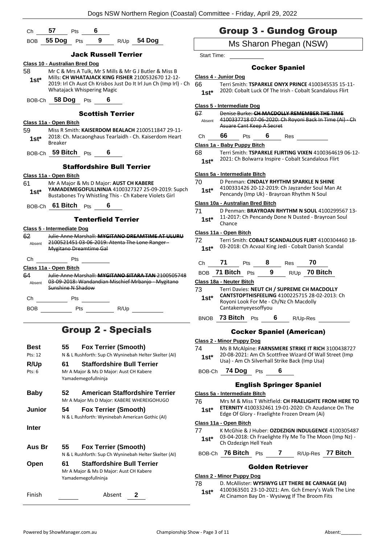|                                                                                                                   |                                       |     |                            |                                         |                                                                                                            |                                                   | Dogs NSW Northern Region (Coastal) Committee - Friday, April 29, 2022                                                                     |  |
|-------------------------------------------------------------------------------------------------------------------|---------------------------------------|-----|----------------------------|-----------------------------------------|------------------------------------------------------------------------------------------------------------|---------------------------------------------------|-------------------------------------------------------------------------------------------------------------------------------------------|--|
| Ch                                                                                                                | 57                                    | Pts | 6                          |                                         |                                                                                                            |                                                   | <b>Group 3 - Gundog Group</b>                                                                                                             |  |
| <b>BOB</b>                                                                                                        | 55 Dog Pts                            |     |                            |                                         | 9 R/Up 54 Dog                                                                                              |                                                   | Ms Sharon Phegan (NSW)                                                                                                                    |  |
|                                                                                                                   |                                       |     |                            | <b>Jack Russell Terrier</b>             |                                                                                                            | Start Time:                                       |                                                                                                                                           |  |
|                                                                                                                   | <b>Class 10 - Australian Bred Dog</b> |     |                            |                                         |                                                                                                            |                                                   | <b>Cocker Spaniel</b>                                                                                                                     |  |
| Mr C & Mrs A Tulk, Mr S Mills & Mr G J Butler & Miss B<br>58<br>Mills: CH WHATAJACK KING FISHER 2100532670 12-12- |                                       |     |                            |                                         | Class 4 - Junior Dog                                                                                       |                                                   |                                                                                                                                           |  |
| $1st*$                                                                                                            |                                       |     | Whatajack Whispering Magic |                                         | 2019: Irl Ch Aust Ch Krisbos Just Do It Irl Jun Ch (Imp Irl) - Ch                                          | 66<br>$1st*$                                      | Terri Smith: TSPARKLE ONYX PRINCE 4100345535 15-11-<br>2020: Cobalt Luck Of The Irish - Cobalt Scandalous Flirt                           |  |
|                                                                                                                   | BOB-Ch 58 Dog Pts                     |     |                            |                                         |                                                                                                            |                                                   |                                                                                                                                           |  |
|                                                                                                                   |                                       |     |                            | <b>Scottish Terrier</b>                 |                                                                                                            | 67                                                | Class 5 - Intermediate Dog<br>Denise Burke: CH MACDOLLY REMEMBER THE TIME                                                                 |  |
|                                                                                                                   | Class 11a - Open Bitch                |     |                            |                                         |                                                                                                            | Absent                                            | 4100337718 07-06-2020: Ch Royoni Back In Time (Ai) - Ch<br>Asuare Cant Keep A Secret                                                      |  |
| 59<br>$1st*$                                                                                                      |                                       |     |                            |                                         | Miss R Smith: KAISERDOM BEALACH 2100511847 29-11-<br>2018: Ch. Macaonghaus Tearlaidh - Ch. Kaiserdom Heart | Ch                                                | 66<br>$6$ Res<br>Pts                                                                                                                      |  |
|                                                                                                                   | <b>Breaker</b>                        |     |                            |                                         |                                                                                                            |                                                   | Class 1a - Baby Puppy Bitch                                                                                                               |  |
|                                                                                                                   | BOB-Ch 59 Bitch Pts 6                 |     |                            |                                         |                                                                                                            | 68                                                | Terri Smith: TSPARKLE FLIRTING VIXEN 4100364619 06-12-                                                                                    |  |
|                                                                                                                   |                                       |     |                            | <b>Staffordshire Bull Terrier</b>       |                                                                                                            | $1st*$                                            | 2021: Ch Bolwarra Inspire - Cobalt Scandalous Flirt                                                                                       |  |
|                                                                                                                   | Class 11a - Open Bitch                |     |                            |                                         |                                                                                                            |                                                   | Class 5a - Intermediate Bitch                                                                                                             |  |
| 61<br>$1st^*$                                                                                                     |                                       |     |                            | Mr A Major & Ms D Major: AUST CH KABERE | YAMADEMEGOFULLNINJA 4100327327 25-09-2019: Supch<br>Bustabones Try Whistling This - Ch Kabere Violets Girl | 70<br>$1st*$                                      | D Penman: CINDALY RHYTHM SPARKLE N SHINE<br>4100331426 20-12-2019: Ch Jayzander Soul Man At<br>Pencandy (Imp Uk) - Brayroan Rhythm N Soul |  |
|                                                                                                                   | BOB-Ch 61 Bitch Pts                   |     |                            |                                         |                                                                                                            |                                                   | Class 10a - Australian Bred Bitch                                                                                                         |  |
|                                                                                                                   |                                       |     |                            | <b>Tenterfield Terrier</b>              |                                                                                                            | 71<br>$1st*$                                      | D Penman: BRAYROAN RHYTHM N SOUL 4100299567 13-<br>11-2017: Ch Pencandy Done N Dusted - Brayroan Soul<br>Chance                           |  |
|                                                                                                                   | Class 5 - Intermediate Dog            |     |                            |                                         |                                                                                                            |                                                   | Class 11a - Open Bitch                                                                                                                    |  |
| 62<br>Absent                                                                                                      |                                       |     | Mygitano Dreamtime Gal     |                                         | Julie-Anne Marshall: MYGITANO DREAMTIME AT ULURU<br>2100521451 03-06-2019: Atenta The Lone Ranger -        | 72<br>$1st*$                                      | Terri Smith: COBALT SCANDALOUS FLIRT 4100304460 18-<br>03-2018: Ch Acvaal King Jedi - Cobalt Danish Scandal                               |  |
| Ch                                                                                                                |                                       | Pts |                            |                                         |                                                                                                            | Ch                                                | 71 Pts 8 Res 70                                                                                                                           |  |
|                                                                                                                   | Class 11a - Open Bitch                |     |                            |                                         |                                                                                                            |                                                   |                                                                                                                                           |  |
| 64                                                                                                                |                                       |     |                            |                                         | Julie-Anne Marshall: MYGITANO SITARA TAN 2100505748                                                        | $\mathbf{9}$<br>R/Up 70 Bitch<br>BOB 71 Bitch Pts |                                                                                                                                           |  |
|                                                                                                                   | Sunshine N Shadow                     |     |                            |                                         | Absent 03 09 2018: Wandandian Mischief Mrbanjo Mygitano                                                    | 73                                                | Class 18a - Neuter Bitch<br>Terri Davies: NEUT CH / SUPREME CH MACDOLLY                                                                   |  |
|                                                                                                                   | Ch Pts                                |     |                            |                                         |                                                                                                            | $1st^*$                                           | CANTSTOPTHISFEELING 4100225715 28-02-2013: Ch                                                                                             |  |
| <b>BOB</b>                                                                                                        | Pts                                   |     |                            | R/Up                                    |                                                                                                            |                                                   | Royoni Look For Me - Ch/Nz Ch Macdolly<br>Cantakemyeyesoffyou                                                                             |  |
|                                                                                                                   |                                       |     |                            |                                         |                                                                                                            |                                                   | BNOB 73 Bitch Pts 6 R/Up-Res                                                                                                              |  |
|                                                                                                                   |                                       |     |                            | <b>Group 2 - Specials</b>               |                                                                                                            |                                                   | <b>Cocker Spaniel (American)</b>                                                                                                          |  |
|                                                                                                                   |                                       |     |                            |                                         |                                                                                                            |                                                   | <b>Class 2 - Minor Puppy Dog</b>                                                                                                          |  |

- 74 Ms B McAlpine: **FARNSMERE STRIKE IT RICH** 3100438727 20-08-2021: Am Ch Scottfree Wizard Of Wall Street (Imp **1st**\* 20-08-2021: Am Ch Scottfree Wizard Of Wall<br>Usa) - Am Ch Silverhall Strike Back (Imp Usa)
	- BOB-Ch **74 Dog** Pts **6**

#### English Springer Spaniel

| Class 5a - Intermediate Bitch |
|-------------------------------|
|-------------------------------|

76 Mrs M & Miss T Whitfield: **CH FRAELIGHTE FROM HERE TO ETERNITY** 4100332461 19-01-2020: Ch Azudance On The Edge Of Glory - Fraelighte Frozen Dream (Ai) **1st\***

#### **Class 11a - Open Bitch**

- 77 K McGhie & J Huber: **OZDEZIGN INDULGENCE** 4100305487 03-04-2018: Ch Fraelighte Fly Me To The Moon (Imp Nz) - **1st**\* 03-04-2018: Ch Fraelig<br>Ch Ozdezign Hell Yeah
- BOB-Ch **76 Bitch** Pts **7** R/Up-Res **77 Bitch**

#### Golden Retriever

**Class 2 - Minor Puppy Dog** 78 D. McAllister: **WYSIWYG LET THERE BE CARNAGE (AI)** 4100363501 23-10-2021: Am. Gch Emery's Walk The Line **1st** <sup>4100363501 23-10-2021: Am. Gch Emery's Walk<br>At Cinamon Bay Dn - Wysiwyg If The Broom Fits</sup>

| Best      | <b>Fox Terrier (Smooth)</b><br>55                                                                         |
|-----------|-----------------------------------------------------------------------------------------------------------|
| Pts: 12   | N & L Rushforth: Sup Ch Wyninebah Helter Skelter (AI)                                                     |
| R/Up      | <b>Staffordshire Bull Terrier</b><br>61                                                                   |
| $P$ ts: 6 | Mr A Major & Ms D Major: Aust CH Kabere<br>Yamademegofullninja                                            |
| Baby      | American Staffordshire Terrier<br>52<br>Mr A Major Ms D Major: KABERE WHEREIGOHUGO                        |
| Junior    | <b>Fox Terrier (Smooth)</b><br>54<br>N & L Rushforth: Wyninebah American Gothic (AI)                      |
| Inter     |                                                                                                           |
| Aus Br    | <b>Fox Terrier (Smooth)</b><br>55<br>N & L Rushforth: Sup Ch Wyninebah Helter Skelter (AI)                |
| Open      | <b>Staffordshire Bull Terrier</b><br>61<br>Mr A Major & Ms D Major: Aust CH Kabere<br>Yamademegofullninja |
| Finish    | Absent<br>2                                                                                               |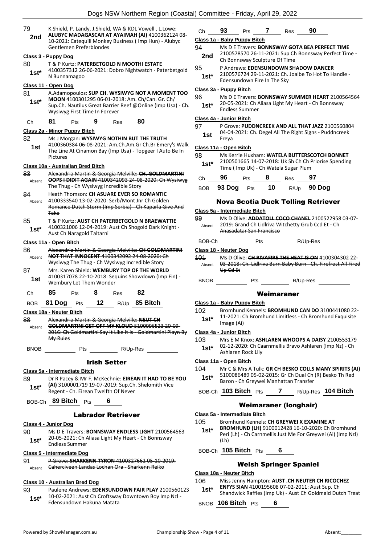| 79           | K. Shield, P. Landy, J. Shield, WA & KDL Vowell, L. Lowe:<br>ALUBYC MADAGASCAR AT AYAIMAH (AI) 4100362124 08- | Ch           | 93<br>Pts                                  |
|--------------|---------------------------------------------------------------------------------------------------------------|--------------|--------------------------------------------|
| 2nd          | 10-2021: Catequill Monkey Business (Imp Hun) - Alubyc                                                         |              | Class 1a - Baby Puppy Bitc                 |
|              | Gentlemen Preferblondes                                                                                       | 94           | Ms D E Travers: B                          |
|              | Class 3 - Puppy Dog                                                                                           | 2nd          | 2100578570 26-1<br>Ch Bonnsway Scul        |
| 80           | T & P Kurtz: PATERBETGOLD N MOOTHI ESTATE                                                                     | 95           | P Andrews: EDEN:                           |
| $1st^*$      | 4100357312 26-06-2021: Dobro Nightwatch - Paterbetgold<br>N Bunnamagoo                                        | $1st*$       | 2100576724 29-1                            |
|              |                                                                                                               |              | Edensundown Fire                           |
| 81           | Class 11 - Open Dog<br>A.Adamopoulos: SUP CH. WYSIWYG NOT A MOMENT TOO                                        |              | <u> Class 3a - Puppy Bitch</u>             |
| $1st*$       | MOON 4100301295 06-01-2018: Am. Ch/Can. Gr. Ch/                                                               | 96           | Ms D E Travers: B                          |
|              | Sup.Ch. Nautilus Great Barrier Reef @Online (Imp Usa) - Ch.<br>Wysiwyg First Time In Forever                  | $1st*$       | 20-05-2021: Ch Al<br><b>Endless Summer</b> |
| Ch           | 80<br>81<br>9<br>Pts<br>Res                                                                                   |              | Class 4a - Junior Bitch                    |
|              | Class 2a - Minor Puppy Bitch                                                                                  | 97           | P Grove: PUDDNC<br>04-04-2021: Ch. D       |
| 82           | Ms J Morgan: WYSIWYG NOTHIN BUT THE TRUTH                                                                     | 1st          | Freya                                      |
| 1st          | 4100360384 06-08-2021: Am.Ch.Am.Gr Ch.Br Emery's Walk                                                         |              | Class 11a - Open Bitch                     |
|              | The Line At Cinamon Bay (Imp Usa) - Topgeer I Auto Be In                                                      | 98           | Ms Kerrie Huxham                           |
|              | Pictures                                                                                                      | $1st*$       | 2100501665 14-0                            |
|              | Class 10a - Australian Bred Bitch                                                                             |              | Time (Imp Uk) - C                          |
| 83<br>Absent | Alexandria Martin & Georgia Melville: CH. GOLDMARTINI<br>OOPS I DIDIT AGAIN 4100342093 24 08 2020: Ch Wysiwyg | Сh           | 96<br>Pts                                  |
|              | The Thug - Ch Wysiwyg Incredible Story                                                                        | <b>BOB</b>   | 93 Dog<br>Pts                              |
| 84<br>Absent | <b>Heath Thomson: CH ASUARE EVER SO ROMANTIC</b><br>4100333540 13-02-2020: Serb/Mont Jnr Ch Golden            |              | Nova Scotia                                |
|              | Romance Dutch Storm (Imp Serbia) Ch Kaparla Give And                                                          |              |                                            |
|              | <b>Take</b>                                                                                                   |              | Class 5a - Intermediate Bitc               |
| 85           | T & P Kurtz: AUST CH PATERBETGOLD N BRAEWATTIE                                                                | 99<br>Absent | Ms D Olive: ADDA<br>2019: Grand Ch Li      |
| $1st^*$      | 4100321006 12-04-2019: Aust Ch Shogold Dark Knight -<br>Aust Ch Naragold Taltarni                             |              | Anasadatar San Fr                          |
|              | Class 11a - Open Bitch                                                                                        | BOB-Ch       | Pts                                        |
| 86           | Alexandria Martin & Georgia Melville: CH GOLDMARTINI                                                          |              | Class 18 - Neuter Dog                      |
| Absent       | <b>NOT THAT INNOCENT 4100342092 24 08 2020: Ch</b>                                                            | 101          | Ms D Olive: CH RI                          |
|              | Wysiwyg The Thug - Ch Wysiwyg Incredible Story                                                                | Absent       | 03-2018: Ch. Lidlri                        |
| 87           | Mrs. Karen Shield: WEMBURY TOP OF THE WORLD                                                                   |              | Up Cd Et                                   |
| 1st          | 4100317078 22-10-2018: Sequins Showdown (Imp Fin) -<br>Wembury Let Them Wonder                                | <b>BNOB</b>  | Pts                                        |
| Сh           | 85<br>82<br>8<br>Pts<br>Res                                                                                   |              |                                            |
| <b>BOB</b>   | 12<br>81 Dog<br>85 Bitch<br>R/Up<br>Pts                                                                       |              | Class 1a - Baby Puppy Bitc                 |
|              | Class 18a - Neuter Bitch                                                                                      | 102          | <b>Bromhund Kennel</b>                     |
| 88           | Alexandria Martin & Georgia Melville: NEUT CH                                                                 | $1st*$       | 11-2021: Ch Brom                           |
| Absent       | <b>GOLDMARTINI GET OFF MY KLOUD 5100096523 20-09-</b>                                                         |              | Image (Ai)                                 |
|              | 2016: Ch Goldmartini Say It Like It Is Goldmartini Playn By                                                   |              | Class 4a - Junior Bitch                    |
|              | My Rules                                                                                                      | 103          | Mrs E M Knox: AS<br>02-12-2020: Ch Ca      |
| BNOB         | Pts R/Up-Res                                                                                                  | $1st^*$      | Ashlaren Rock Lily                         |
|              | <b>Irish Setter</b>                                                                                           |              | Class 11a - Open Bitch                     |
|              |                                                                                                               | 104          | Mr C & Mrs A Tulk                          |
|              | Class 5a - Intermediate Bitch                                                                                 | $1st^*$      | 5100086489 05-0                            |
| 89           | Dr R Pacey & Mr F. McKechnie: EIREAN IT HAD TO BE YOU<br>(AI) 3100001719 19-07-2019: Sup.Ch. Shelomith Vice   |              | Baron - Ch Greyw                           |
| $1st*$       | Regent - Ch. Eirean Twelfth Of Never                                                                          |              | BOB-Ch 103 Bitch Pts                       |
|              | BOB-Ch 89 Bitch<br>6<br><b>Pts</b>                                                                            |              | Weima                                      |
|              |                                                                                                               |              | Class 5a - Intermediate Bitc               |
|              | <b>Labrador Retriever</b>                                                                                     | 105          | <b>Bromhund Kennel</b>                     |
|              | Class 4 - Junior Dog                                                                                          | $1st^*$      | <b>BROMHUND (LH)</b>                       |
| 90           | Ms D E Travers: <b>BONNSWAY ENDLESS LIGHT</b> 2100564563                                                      |              | Peri (Lh) - Ch Carn                        |
| $1st*$       | 20-05-2021: Ch Aliasa Light My Heart - Ch Bonnsway<br><b>Endless Summer</b>                                   |              | (Lh)                                       |
|              | Class 5 - Intermediate Dog                                                                                    |              | BOB-Ch 105 Bitch Pts                       |
| 91           | P Grove: SHARKENN TYRON 4100327662 05-10-2019:                                                                |              |                                            |
| Absent       | Caherciveen Landas Lochan Ora - Sharkenn Reiko                                                                |              | Welsh <b>S</b>                             |
|              |                                                                                                               |              | Class 18a - Neuter Bitch                   |
|              | <b>Class 10 - Australian Bred Dog</b>                                                                         | 106          | Miss Jenny Hampt                           |

93 Paulene Andrews: **EDENSUNDOWN FAIR PLAY** 2100560123 10-02-2021: Aust Ch Croftsway Downtown Boy Imp Nzl - Edensundown Hakuna Matata **1st\***

| Ch          | 93 | <b>Pts</b>                    | Res                                  | 90 |                                                                                                                |
|-------------|----|-------------------------------|--------------------------------------|----|----------------------------------------------------------------------------------------------------------------|
|             |    | Class 1a - Baby Puppy Bitch   |                                      |    |                                                                                                                |
| 94<br>2nd   |    | Ch Bonnsway Sculpture Of Time |                                      |    | Ms D E Travers: <b>BONNSWAY GOTA BEA PERFECT TIME</b><br>2100578570 26-11-2021: Sup Ch Bonnsway Perfect Time - |
| 95<br>$1e+$ |    |                               | P Andrews: EDENSUNDOWN SHADOW DANCER |    | 2100576724 29-11-2021: Ch. Joalbe To Hot To Handle -                                                           |

# e In The Sky

**ONNSWAY SUMMER HEART** 2100564564 liasa Light My Heart - Ch Bonnsway

**REEK AND ALL THAT JAZZ** 2100560804 egel All The Right Signs - Puddncreek

#### 98 Ms Kerrie Huxham: **WATELA BUTTERSCOTCH BONNET**

7-2018: Uk Sh Ch Ch Priorise Spending **Th Watela Sugar Plum** 

| Сh | чь                          |        |                  | es.       |                  |
|----|-----------------------------|--------|------------------|-----------|------------------|
|    | $\sim$ $\sim$ $\sim$ $\sim$ | $\sim$ | <i><u>ап</u></i> | <b>DU</b> | 000 <sub>2</sub> |

### BOB **93 Dog** Pts **10** R/Up **90 Dog**

### **Duck Tolling Retriever**

|              | Class 5a - Intermediate Bitch                                                                                                       |  |  |  |  |  |
|--------------|-------------------------------------------------------------------------------------------------------------------------------------|--|--|--|--|--|
| 99<br>Absent | Ms D Olive: ADDATOLL COCO CHANEL 2100522958 03 07<br>2019: Grand Ch Lidlriva Witchetty Grub Ccd Et - Ch<br>Anasadatar San Francisco |  |  |  |  |  |
| BOB-Ch       | R/Up-Res<br>Pts                                                                                                                     |  |  |  |  |  |
|              | Class 18 - Neuter Dog                                                                                                               |  |  |  |  |  |
| 401          | Mc D Olive: CH RIVACIDE THE HEAT IS ON 4100304302.22.                                                                               |  |  |  |  |  |

- 03-2018: Ch. Lidlriva Burn Baby Burn Ch. Firefrost All Fired
- R/Up-Res

#### Weimaraner

#### **Class 1a - Baby Puppy Bitch**

- 102 Bromhund Kennels: **BROMHUND CAN DO** 3100441080 22- 11-2021: Ch Bromhund Limitless - Ch Bromhund Exquisite
- **HLAREN WHOOPS A DAISY 2100553179** aarnmellis Bravo Ashlaren (Imp Nz) - Ch
- 
- **126 Mr CH BESKO COLLS MANY SPIRITS (AI)** 2-2015: Gr Ch Dual Ch (R) Besko Th Red  $ei$  Manhattan Transfer

### BOB-Ch **103 Bitch** Pts **7** R/Up-Res **104 Bitch**

#### **Iraner (longhair)**

**Is: CH GREYWEI X EXAMINE AT** 

- **BROMHUND (LH)** 9100012428 16-10-2020: Ch Bromhund Imellis Just Me For Greywei (Ai) (Imp Nzl)
- BOB-Ch **105 Bitch** Pts **6**

#### **Springer Spaniel**

- 106 Miss Jenny Hampton: **AUST .CH NEUTER CH RICOCHEZ**
- **ENFYS SIAN** 4100195608 07-02-2011: Aust Sup. Ch
- **1st\*** ENFYS SIAN 4100195608 07-02-2011: Aust Sup. Ch<br>Shandwick Raffles (Imp Uk) Aust Ch Goldmaid Dutch Treat

BNOB **106 Bitch** Pts **6**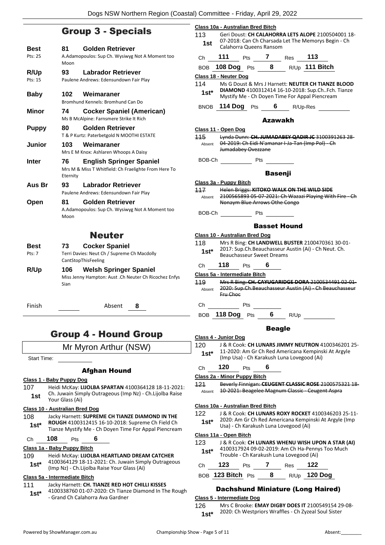# $G_{\text{max}} = 3 - 1$

|                        | <b>uroup J - opecials</b>                                                                                 |
|------------------------|-----------------------------------------------------------------------------------------------------------|
| Best<br>Pts: 25        | <b>Golden Retriever</b><br>81<br>A.Adamopoulos: Sup Ch. Wysiwyg Not A Moment too<br>Moon                  |
| <b>R/Up</b><br>Pts: 15 | <b>Labrador Retriever</b><br>93<br>Paulene Andrews: Edensundown Fair Play                                 |
| <b>Baby</b>            | Weimaraner<br>102<br>Bromhund Kennels: Bromhund Can Do                                                    |
| Minor                  | <b>Cocker Spaniel (American)</b><br>74<br>Ms B McAlpine: Farnsmere Strike It Rich                         |
| <b>Puppy</b>           | 80<br><b>Golden Retriever</b><br>T & P Kurtz: Paterbetgold N MOOTHI ESTATE                                |
| Junior                 | 103<br>Weimaraner<br>Mrs E M Knox: Ashlaren Whoops A Daisy                                                |
| Inter                  | 76<br><b>English Springer Spaniel</b><br>Mrs M & Miss T Whitfield: Ch Fraelighte From Here To<br>Eternity |
| Aus Br                 | <b>Labrador Retriever</b><br>93<br>Paulene Andrews: Edensundown Fair Play                                 |
| Open                   | <b>Golden Retriever</b><br>81<br>A.Adamopoulos: Sup Ch. Wysiwyg Not A Moment too<br>Moon                  |
|                        | <b>Neuter</b>                                                                                             |
| Best<br>Pts: 7         | <b>Cocker Spaniel</b><br>73<br>Terri Davies: Neut Ch / Supreme Ch Macdolly<br>CantStopThisFeeling         |
| R/Up                   | 106<br><b>Welsh Springer Spaniel</b><br>Miss Jenny Hampton: Aust .Ch Neuter Ch Ricochez Enfys<br>Sian     |
| Finish                 | Absent<br>8                                                                                               |

# Group 4 - Hound Group

Mr Myron Arthur (NSW)

Start Time:

#### Afghan Hound

#### **Class 1 - Baby Puppy Dog**

107 Heidi McKay: **LIJOLBA SPARTAN** 4100364128 18-11-2021: Ch. Juwain Simply Outrageous (Imp Nz) - Ch.Lijolba Raise **1st** Cn. Juwain Sim<br>Your Glass (Ai)

#### **Class 10 - Australian Bred Dog**

108 Jacky Harnett: **SUPREME CH TIANZE DIAMOND IN THE ROUGH** 4100312415 16-10-2018: Supreme Ch Field Ch **1st\*** ROUGH 4100312415 16-10-2018: Supreme Ch Field Ch<br>Tianze Mystify Me - Ch Doyen Time For Appal Piencream

### Ch **108** Pts **6**

#### **Class 1a - Baby Puppy Bitch**

109 Heidi McKay: **LIJOLBA HEARTLAND DREAM CATCHER** 4100364129 18-11-2021: Ch. Juwain Simply Outrageous (Imp Nz) - Ch.Lijolba Raise Your Glass (Ai) **1st\***

#### **Class 5a - Intermediate Bitch**

#### 111 Jacky Harnett: **CH. TIANZE RED HOT CHILLI KISSES**

4100338760 01-07-2020: Ch Tianze Diamond In The Rough - Grand Ch Calahorra Ava Gardner **1st\***

|         | Class 10a - Australian Bred Bitch                                                                                                                                        |  |
|---------|--------------------------------------------------------------------------------------------------------------------------------------------------------------------------|--|
|         | 113 Geri Doust: CH CALAHORRA LETS ALOPE 2100504001 18-<br>07-2018: Can Ch Charsada Let The Memorys Begin - Ch                                                            |  |
| 1st     | Calahorra Queens Ransom                                                                                                                                                  |  |
|         | Ch 111 Pts 7 Res 113                                                                                                                                                     |  |
|         | BOB 108 Dog Pts 8 R/Up 111 Bitch                                                                                                                                         |  |
|         | Class 18 - Neuter Dog                                                                                                                                                    |  |
|         | 114 Ms G Doust & Mrs J Harnett: NEUTER CH TIANZE BLOOD<br><b>1st*</b> DIAMOND 4100312414 16-10-2018: Sup.ChFch. Tianze<br>Mystify Me - Ch Doyen Time For Appal Piencream |  |
|         | BNOB 114 Dog Pts 6 R/Up-Res                                                                                                                                              |  |
|         | Azawakh                                                                                                                                                                  |  |
|         | Class 11 - Open Dog                                                                                                                                                      |  |
|         | 115 Lynda Dunn: CH. JUMADABEY QADIR JC 3100391263 28-                                                                                                                    |  |
|         | Absent 04 2019: Ch Eidi N'amanar I Ja Tan (Imp Pol) Ch<br>Jumadabey Ovezzane                                                                                             |  |
|         | BOB-Ch Pts                                                                                                                                                               |  |
|         | <b>Basenji</b>                                                                                                                                                           |  |
|         | Class 3a - Puppy Bitch                                                                                                                                                   |  |
|         | 117 Helen Briggs: KITOKO WALK ON THE WILD SIDE                                                                                                                           |  |
|         | Absent 2100565893 05-07-2021: Ch Wazazi Playing With Fire - Ch<br>Nonaym Blue Arrows Othe Congo                                                                          |  |
|         | BOB-Ch Pts _                                                                                                                                                             |  |
|         |                                                                                                                                                                          |  |
|         | <b>Basset Hound</b>                                                                                                                                                      |  |
| 118     | <b>Class 10 - Australian Bred Dog</b>                                                                                                                                    |  |
|         | Mrs R Bing: CH LANDWELL BUSTER 2100470361 30-01-<br>2017: Sup.Ch.Beauchasseur Austin (Ai) - Ch Neut. Ch.                                                                 |  |
| $1st^*$ | <b>Beauchasseur Sweet Dreams</b>                                                                                                                                         |  |
|         | Ch 118 Pts 6                                                                                                                                                             |  |
|         | Class 5a - Intermediate Bitch                                                                                                                                            |  |
|         | 119 Mrs R Bing: CH. CAYUGARIDGE DORA 2100534491 02-01-<br>Absent 2020: Sup.Ch.Beauchasseur Austin (Ai) - Ch Beauchasseur                                                 |  |
|         | Fru Choc                                                                                                                                                                 |  |
|         | Ch Pts                                                                                                                                                                   |  |
| BOB.    | <b>118 Dog</b><br>6<br>Pts<br>R/Up                                                                                                                                       |  |
|         | <b>Beagle</b>                                                                                                                                                            |  |
|         | Class 4 - Junior Dog                                                                                                                                                     |  |
| 120     | J & R Cook: CH LUNARS JIMMY NEUTRON 4100346201 25-                                                                                                                       |  |
| $1st*$  | 11-2020: Am Gr Ch Red Americana Kempinski At Argyle<br>(Imp Usa) - Ch Karakush Luna Lovegood (Ai)                                                                        |  |
| Ch      | 120<br>6<br>Pts                                                                                                                                                          |  |
|         | Class 2a - Minor Puppy Bitch                                                                                                                                             |  |
| 121     | Beverly Finnigan: CEUGENT CLASSIC ROSE 2100575321 18-                                                                                                                    |  |
| Absent  | 10-2021: Beagelee Magnum Classic - Ceugent Aspra                                                                                                                         |  |
|         | Class 10a - Australian Bred Bitch                                                                                                                                        |  |
| 122     | J & R Cook: CH LUNARS ROXY ROCKET 4100346203 25-11-                                                                                                                      |  |
| $1st*$  | 2020: Am Gr Ch Red Americana Kempinski At Argyle (Imp<br>Usa) - Ch Karakush Luna Lovegood (Ai)                                                                           |  |
|         | Class 11a - Open Bitch                                                                                                                                                   |  |
| 123     | J & R Cook: CH LUNARS WHENU WISH UPON A STAR (AI)                                                                                                                        |  |
| $1st^*$ | 4100317924 09-02-2019: Am Ch Ha-Pennys Too Much<br>Trouble - Ch Karakush Luna Lovegood (Ai)                                                                              |  |
| Сh      | 123<br>7<br>122<br>Pts<br>Res                                                                                                                                            |  |

BOB **123 Bitch** Pts **8** R/Up **120 Dog**

#### Dachshund Miniature (Long Haired)

#### **Class 5 - Intermediate Dog**

126 Mrs C Brooke: **EMAY DIGBY DOES IT** 2100549154 29-08- 1st\* 2020: Ch Westpriors Wraffles - Ch Zyzeal Soul Sister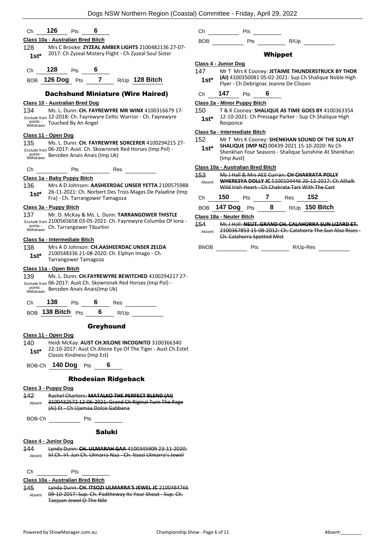| 126<br>6<br>Pts<br>Ch                                                                                                                                                                                                                          | Pts<br>Ch                                                                                                                                                                                  |
|------------------------------------------------------------------------------------------------------------------------------------------------------------------------------------------------------------------------------------------------|--------------------------------------------------------------------------------------------------------------------------------------------------------------------------------------------|
| Class 10a - Australian Bred Bitch                                                                                                                                                                                                              | Pts<br>R/Up<br><b>BOB</b>                                                                                                                                                                  |
| 128<br>Mrs C Brooke: ZYZEAL AMBER LIGHTS 2100482136 27-07-<br>2017: Ch Zyzeal Mistery Flight - Ch Zyzeal Soul Sister<br>$1st*$                                                                                                                 | <b>Whippet</b>                                                                                                                                                                             |
|                                                                                                                                                                                                                                                | Class 4 - Junior Dog                                                                                                                                                                       |
| 128<br>6<br>Pts<br>Ch<br>126 Dog $Pts$ 7<br>$R/Up$ 128 Bitch<br><b>BOB</b>                                                                                                                                                                     | 147<br>Mr T Mrs K Cooney: JETAIME THUNDERSTRUCK BY THOR<br>(AI) 4100350081 05-02-2021: Sup Ch Shalique Noble High<br>$1st*$<br>Flyer - Ch Debrignac Jeanne De Clisson                      |
| <b>Dachshund Miniature (Wire Haired)</b>                                                                                                                                                                                                       | 147<br>6<br>Pts<br>Ch                                                                                                                                                                      |
| <b>Class 10 - Australian Bred Dog</b>                                                                                                                                                                                                          | Class 2a - Minor Puppy Bitch                                                                                                                                                               |
| 134<br>Ms. L. Dunn: CH. FAYREWYRE MR WINX 4100316679 17-<br>Exclude from 12-2018: Ch. Fayrewyre Celtic Warrior - Ch. Fayrewyre<br>points -<br>Touched By An Angel<br>Withdrawn                                                                 | 150<br>T & K Cooney: SHALIQUE AS TIME GOES BY 4100363354<br>12-10-2021: Ch Pressage Parker - Sup Ch Shalique High<br>$1st^*$<br>Responce                                                   |
| Class 11 - Open Dog                                                                                                                                                                                                                            | Class 5a - Intermediate Bitch                                                                                                                                                              |
| Ms. L. Dunn: CH. FAYREWYRE SORCERER 4100294215 27-<br>135<br>Exclude from 06-2017: Aust. Ch. Skowronek Red Horses (Imp Pol) -<br>points -<br>Benzden Anais Anais (Imp Uk)<br>Withdrawn                                                         | 152<br>Mr T Mrs K Cooney: SHENKHAN SOUND OF THE SUN AT<br>SHALIQUE (IMP NZ) 00439-2021 15-10-2020: Nz Ch<br>$1st^*$<br>Shenkhan Four Seasons - Shalique Sunshine At Shenkhan<br>(Imp Aust) |
| Ch<br>Pts<br>Res                                                                                                                                                                                                                               | Class 10a - Australian Bred Bitch                                                                                                                                                          |
| Class 1a - Baby Puppy Bitch<br>136<br>Mrs A D Johnson: AASHEERDAC UNSER YETTA 2100575988<br>26-11-2021: Ch. Norbert Des Trois Mages De Paladine (Imp                                                                                           | <b>453</b><br>Ms J Hall & Mrs AEE Curran: CH CHAKRATA POLLY<br>WHERESYA DOLLY IC 5100104446 26-12-2017: Ch Alltalk<br>Absent<br>Wild Irish Heart - Ch Chakrata Tart With The Cart          |
| $1st*$<br>Fra) - Ch. Tarrangower Tamagoza                                                                                                                                                                                                      | 150<br>152<br>7<br>Pts<br>Res<br>Ch                                                                                                                                                        |
| Class 3a - Puppy Bitch                                                                                                                                                                                                                         | 8<br>R/Up 150 Bitch<br><b>BOB 147 Dog</b><br>Pts                                                                                                                                           |
| 137<br>Mr. D. McKay & Ms. L. Dunn: TARRANGOWER THISTLE                                                                                                                                                                                         | Class 18a - Neuter Bitch                                                                                                                                                                   |
| Exclude from 2100565658 03-05-2021: Ch. Fayrewyre Columba Of Iona -<br>points -<br>Ch. Tarrangower Tiburtini<br>Withdrawn                                                                                                                      | 154<br>Ms J Hall: NEUT. GRAND CH. CALAHORRA SUN LIZARD ET.<br>2100367853 15-08-2012: Ch. Calahorra The Sun Also Rises<br>Absent<br>Ch. Calahorra Spotted Mist                              |
| Class 5a - Intermediate Bitch<br>138<br>Mrs A D Johnson: CH.AASHEERDAC UNSER ZELDA<br>2100548336 21-08-2020: Ch. Elphyn Imago - Ch.<br>$1st*$<br>Tarrangower Tamagoza                                                                          | R/Up-Res<br><b>BNOB</b><br>Pts                                                                                                                                                             |
| Class 11a - Open Bitch<br>139<br>Ms. L. Dunn: CH.FAYREWYRE BEWITCHED 4100294217 27-<br>Exclude from 06-2017: Aust.Ch. Skowronek Red Horses (Imp Pol) -<br>points -<br>Benzden Anais Anais(Imp Uk)<br>Withdrawn<br>138<br>6<br>Ch<br>Pts<br>Res |                                                                                                                                                                                            |
| BOB 138 Bitch Pts 6 R/Up                                                                                                                                                                                                                       |                                                                                                                                                                                            |
| Greyhound                                                                                                                                                                                                                                      |                                                                                                                                                                                            |
| Class 11 - Open Dog                                                                                                                                                                                                                            |                                                                                                                                                                                            |
| 140<br>Heidi McKay: AUST CH.XILONE INCOGNITO 3100366340<br>22-10-2017: Aust Ch.Xilone Eye Of The Tiger - Aust.Ch.Estet<br>$1st^*$<br>Classic Kindness (Imp Est)                                                                                |                                                                                                                                                                                            |
| BOB-Ch 140 Dog Pts 6                                                                                                                                                                                                                           |                                                                                                                                                                                            |
| <b>Rhodesian Ridgeback</b>                                                                                                                                                                                                                     |                                                                                                                                                                                            |
| Class 3 - Puppy Dog                                                                                                                                                                                                                            |                                                                                                                                                                                            |
| 142<br>Rachel Charters: MATALKO THE PERFECT BLEND (AI)<br>Absent 3100432572 12-06-2021: Grand Ch Riginal Turn The Page<br>(Ai) Et - Ch Ujamaa Dolce Gabbana                                                                                    |                                                                                                                                                                                            |
| BOB-Ch Pts                                                                                                                                                                                                                                     |                                                                                                                                                                                            |
| <b>Saluki</b>                                                                                                                                                                                                                                  |                                                                                                                                                                                            |
| <b>Class 4 - Junior Dog</b>                                                                                                                                                                                                                    |                                                                                                                                                                                            |
| 144<br>Lynda Dunn: CH. ULMARAH GAA 4100345909 23-11-2020:<br>Absent Irl.Ch. Irl. Jun Ch. Ulmarra Naa Ch. Itsozi Ulmarra's Jewel                                                                                                                |                                                                                                                                                                                            |
|                                                                                                                                                                                                                                                |                                                                                                                                                                                            |
| Class 10a - Australian Bred Bitch                                                                                                                                                                                                              |                                                                                                                                                                                            |
| Lynda Dunn: CH. ITSOZI ULMARRA'S JEWEL JC 2100484766<br>145                                                                                                                                                                                    |                                                                                                                                                                                            |
| Absent 09-10-2017: Sup. Ch. Padtheway Its Your Shout - Sup. Ch.<br>Taejaan Jewel O The Nile                                                                                                                                                    |                                                                                                                                                                                            |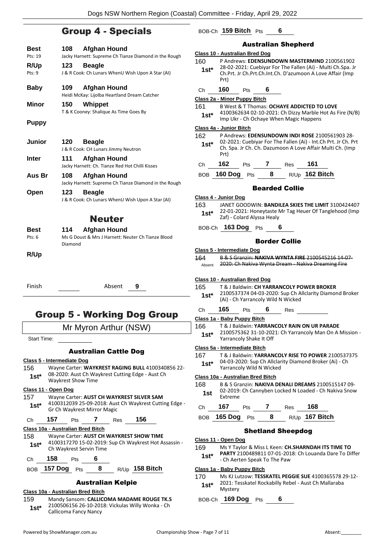# Group 4 - Specials

| <b>Best</b>        | 108<br><b>Afghan Hound</b>                                                                            |
|--------------------|-------------------------------------------------------------------------------------------------------|
| Pts: 19            | Jacky Harnett: Supreme Ch Tianze Diamond in the Rough                                                 |
| R/Up               | 123<br><b>Beagle</b>                                                                                  |
| Pts: 9             | J & R Cook: Ch Lunars WhenU Wish Upon A Star (AI)                                                     |
|                    |                                                                                                       |
| <b>Baby</b>        | 109<br><b>Afghan Hound</b>                                                                            |
|                    | Heidi McKay: Lijolba Heartland Dream Catcher                                                          |
| <b>Minor</b>       | 150<br>Whippet                                                                                        |
|                    | T & K Cooney: Shalique As Time Goes By                                                                |
| <b>Puppy</b>       |                                                                                                       |
|                    |                                                                                                       |
| Junior             | 120<br><b>Beagle</b>                                                                                  |
|                    | J & R Cook: CH Lunars Jimmy Neutron                                                                   |
| <b>Inter</b>       | 111<br>Afghan Hound                                                                                   |
|                    | Jacky Harnett: Ch. Tianze Red Hot Chilli Kisses                                                       |
| Aus Br             | 108<br><b>Afghan Hound</b>                                                                            |
|                    | Jacky Harnett: Supreme Ch Tianze Diamond in the Rough                                                 |
| Open               | 123<br><b>Beagle</b>                                                                                  |
|                    | J & R Cook: Ch Lunars WhenU Wish Upon A Star (AI)                                                     |
|                    |                                                                                                       |
|                    | <b>Neuter</b>                                                                                         |
| Best               | <b>Afghan Hound</b><br>114.                                                                           |
| Pts: 6             | Ms G Doust & Mrs J Harnett: Neuter Ch Tianze Blood                                                    |
|                    | Diamond                                                                                               |
| R/Up               |                                                                                                       |
|                    |                                                                                                       |
|                    |                                                                                                       |
|                    |                                                                                                       |
| Finish             | Absent<br>9                                                                                           |
|                    |                                                                                                       |
|                    |                                                                                                       |
|                    |                                                                                                       |
|                    | Group 5 - Working Dog Group                                                                           |
|                    | Mr Myron Arthur (NSW)                                                                                 |
| <b>Start Time:</b> |                                                                                                       |
|                    |                                                                                                       |
|                    | <b>Australian Cattle Dog</b>                                                                          |
|                    | Class 5 - Intermediate Dog                                                                            |
| 156                | Wayne Carter: WAYKREST RAGING BULL 4100340856 22-<br>08-2020: Aust Ch Waykrest Cutting Edge - Aust Ch |
| $1st*$             | <b>Waykrest Show Time</b>                                                                             |
|                    |                                                                                                       |

#### **Class 11 - Open Dog**

| 157<br>$1st*$ | Wayne Carter: AUST CH WAYKREST SILVER SAM<br>4100312039 25-09-2018: Aust Ch Waykrest Cutting Edge -<br>Gr Ch Waykrest Mirror Magic |            |  |     |     |  |
|---------------|------------------------------------------------------------------------------------------------------------------------------------|------------|--|-----|-----|--|
| Ch            | 157                                                                                                                                | <b>Pts</b> |  | Res | 156 |  |

# **Class 10a - Australian Bred Bitch**

#### 158 Wayne Carter: **AUST CH WAYKREST SHOW TIME** 4100317270 15-02-2019: Sup Ch Waykrest Hot Assassin - **1st**\* 4100317270 15-02-2019:<br>Ch Waykrest Servin Time

Ch **158** Pts **6**

#### BOB **157 Dog** Pts **8** R/Up **158 Bitch**

#### Australian Kelpie

#### **Class 10a - Australian Bred Bitch**

159 Mandy Sansom: **CALLICOMA MADAME ROUGE TK.S** 2100506156 26-10-2018: Vickulas Willy Wonka - Ch Callicoma Fancy Nancy **1st\***

#### BOB-Ch **159 Bitch** Pts **6** Australian Shepherd **Class 10 - Australian Bred Dog** 160 P Andrews: **EDENSUNDOWN MASTERMIND** 2100561902 28-02-2021: Cuebiyar For The Fallen (Ai) - Multi Ch.Spa. Jr Ch.Prt. Jr Ch.Prt.Ch.Int.Ch. D'azumoon A Love Affair (Imp Prt) **1st\*** Ch **160** Pts **6 Class 2a - Minor Puppy Bitch** 161 B West & T Thomas: **OCHAYE ADDICTED TO LOVE** 4100362634 02-10-2021: Ch Dizzy Marble Hot As Fire (N/B) Imp Ukr - Ch Ochaye When Magic Happens **1st\* Class 4a - Junior Bitch** 162 P Andrews: **EDENSUNDOWN INDI ROSE** 2100561903 28- 02-2021: Cuebiyar For The Fallen (Ai) - Int.Ch Prt. Jr Ch. Prt Ch. Spa. Jr Ch. Ch. Dazumoon A Love Affair Multi Ch. (Imp Prt) **1st\*** Ch **162** Pts **7** Res **161** BOB **160 Dog** Pts **8** R/Up **162 Bitch** Bearded Collie **Class 4 - Junior Dog** 163 JANET GOODWIN: **BANDILEA SKIES THE LIMIT** 3100424407 22-01-2021: Honeytaste Mr Tag Heuer Of Tanglehood (Imp **1st**\* **22-01-2021: Honeytaste r**<br>Zaf) - Colard Alyssa Healy BOB-Ch **163 Dog** Pts **6** Border Collie **Class 5 - Intermediate Dog** 164 B & S Granzin: **NAKIVA WYNTA FIRE** 2100545216 14-07- Absent 2020: Ch Nakiva Wynta Dream - Nakiva Dreaming Fire **Class 10 - Australian Bred Dog** 165 T & J Baldwin: **CH YARRANCOLY POWER BROKER** 2100537374 04-03-2020: Sup Ch Allclarity Diamond Broker (Ai) - Ch Yarrancoly Wild N Wicked **1st\*** Ch **165** Pts **6** Res **Class 1a - Baby Puppy Bitch** 166 T & J Baldwin: **YARRANCOLY RAIN ON UR PARADE** 2100575362 31-10-2021: Ch Yarrancoly Man On A Mission - Yarrancoly Shake It Off **1st\* Class 5a - Intermediate Bitch** 167 T & J Baldwin: **YARRANCOLY RISE TO POWER** 2100537375 04-03-2020: Sup Ch Allclarity Diamond Broker (Ai) - Ch Yarrancoly Wild N Wicked **1st\* Class 10a - Australian Bred Bitch** 168 B & S Granzin: **NAKIVA DENALI DREAMS** 2100515147 09- 02-2019: Ch Cannyben Locked N Loaded - Ch Nakiva Snow 1st U<sub>2-2019</sub> Ch **167** Pts **7** Res **168** BOB **165 Dog** Pts **8** R/Up **167 Bitch** Shetland Sheepdog **Class 11 - Open Dog** 169 Ms Y Taylor & Miss L Keen: **CH.SHARNDAH ITS TIME TO PARTY** 2100489811 07-01-2018: Ch Louanda Dare To Differ - Ch Aerten Speak To The Paw **1st\***

#### **Class 1a - Baby Puppy Bitch**

170 Ms KJ Lutzow: **TESSKATEL PEGGIE SUE** 4100365578 29-12- 2021: Tesskatel Rockabilly Rebel - Aust Ch Mallaraba 1st<sup>\*</sup> <sup>2021:16</sup><br>Mystery

BOB-Ch **169 Dog** Pts **6**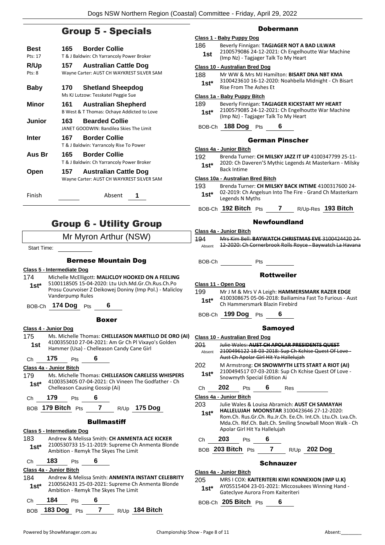# Group 5 - Specials

| <b>Best</b>                    | 165 | <b>Border Collie</b>                                                      |
|--------------------------------|-----|---------------------------------------------------------------------------|
| Pts: 17                        |     | T & J Baldwin: Ch Yarrancoly Power Broker                                 |
| R/Up<br>$P$ †s: $\overline{8}$ | 157 | <b>Australian Cattle Dog</b><br>Wayne Carter: AUST CH WAYKREST SILVER SAM |
| Baby                           | 170 | <b>Shetland Sheepdog</b><br>Ms KJ Lutzow: Tesskatel Peggie Sue            |
| Minor                          | 161 | <b>Australian Shepherd</b><br>B West & T Thomas: Ochaye Addicted to Love  |
| Junior                         | 163 | <b>Bearded Collie</b><br>JANET GOODWIN: Bandilea Skies The Limit          |
| Inter                          | 167 | <b>Border Collie</b><br>T & J Baldwin: Yarrancoly Rise To Power           |
| Aus Br                         | 165 | <b>Border Collie</b><br>T & J Baldwin: Ch Yarrancoly Power Broker         |
| Open                           | 157 | <b>Australian Cattle Dog</b><br>Wayne Carter: AUST CH WAYKREST SILVER SAM |
| Finish                         |     | Absent                                                                    |

# Group 6 - Utility Group

### Mr Myron Arthur (NSW)

Start Time:

#### Bernese Mountain Dog

#### **Class 5 - Intermediate Dog**

- 174 Michelle McElligott: **MALICLOY HOOKED ON A FEELING** 5100118505 15-04-2020: Ltu Uch.Md.Gr.Ch.Rus.Ch.Po Prosu Courvoiser Z Deikowej Doniny (Imp Pol.) - Malicloy Vanderpump Rules **1st\***
- BOB-Ch **174 Dog** Pts **6**

#### Boxer

#### **Class 4 - Junior Dog**

175 Ms. Michelle Thomas: **CHELLEASON MARTILLO DE ORO (AI)** 4100355010 27-04-2021: Am Gr Ch Pl Vixayo's Golden **1st** 4100355010 27-04-2021: Am Gr Ch PI VIxaye<br>Hammer (Usa) - Chelleason Candy Cane Girl

#### Ch **175** Pts **6**

#### **Class 4a - Junior Bitch**

179 Ms. Michelle Thomas: **CHELLEASON CARELESS WHISPERS** 4100353405 07-04-2021: Ch Vineen The Godfather - Ch **1st** <sup>4100353405 07-04-2021: Ch Vi<br>Chelleason Causing Gossip (Ai)</sup>

Ch **179** Pts **6**

BOB **179 Bitch** Pts **7** R/Up **175 Dog**

#### **Bullmastiff**

**Class 5 - Intermediate Dog** 183 Andrew & Melissa Smith: **CH ANMENTA ACE KICKER** 2100530733 15-11-2019: Supreme Ch Anmenta Blonde Ambition - Remyk The Skyes The Limit **1st\***

# Ch **183** Pts **6**

### **Class 4a - Junior Bitch**

184 Andrew & Melissa Smith: **ANMENTA INSTANT CELEBRITY** 2100562431 25-03-2021: Supreme Ch Anmenta Blonde Ambition - Remyk The Skyes The Limit **1st\***

| Ch <b>184</b> Pts |  |                  |
|-------------------|--|------------------|
| BOB 183 Dog Pts   |  | $R/Up$ 184 Bitch |

#### Dobermann

#### **Class 1 - Baby Puppy Dog**

186 Beverly Finnigan: **TAGJAGER NOT A BAD LILWAR** 2100579086 24-12-2021: Ch Engelhoutte War Machine 1st 21005/9086 24-12-2021: Ch Engelho<br>(Imp Nz) - Tagjager Talk To My Heart

#### **Class 10 - Australian Bred Dog**

| 188    | Mr WW & Mrs MJ Hamilton: BISART DNA NBT KMA           |
|--------|-------------------------------------------------------|
| $1st*$ | 3100423610 16-12-2020: Noahbella Midnight - Ch Bisart |
|        | Rise From The Ashes Et                                |

#### **Class 1a - Baby Puppy Bitch**

189 Beverly Finnigan: **TAGJAGER KICKSTART MY HEART** 2100579085 24-12-2021: Ch Engelhoutte War Machine (Imp Nz) - Tagjager Talk To My Heart **1st\***

BOB-Ch **188 Dog** Pts **6**

#### German Pinscher

#### **Class 4a - Junior Bitch**

192 Brenda Turner: **CH MILSKY JAZZ IT UP** 4100347799 25-11- 2020: Ch Daveren'S Mythic Legends At Masterkarn - Milsky **1st**\* <sup>2020</sup>: Ch Da

**Class 10a - Australian Bred Bitch**

- 193 Brenda Turner: **CH MILSKY BACK INTIME** 4100317600 24- 02-2019: Ch Angelsun Into The Fire - Grand Ch Masterkarn **1st**\* U2-2019: Ch Ange<br>Legends N Myths
- BOB-Ch **192 Bitch** Pts **7** R/Up-Res **193 Bitch**

#### Newfoundland

| Class 4a - Junior Bitch |                                                          |  |  |  |  |
|-------------------------|----------------------------------------------------------|--|--|--|--|
| <b>194</b>              | Mrs Kim Bell: BAYWATCH CHRISTMAS EVE 3100424420 24-      |  |  |  |  |
| Ahsent                  | 12-2020: Ch Cornerbrook Rolls Royce - Baywatch La Havana |  |  |  |  |

BOB-Ch Pts

#### Rottweiler

#### **Class 11 - Open Dog**

- 199 Mr J M & Mrs V A Leigh: **HAMMERSMARK RAZER EDGE** 4100308675 05-06-2018: Bailiamina Fast To Furious - Aust 1st\* 4100308675 05-06-2016: Ballialli
- BOB-Ch **199 Dog** Pts **6**

#### Samoyed

| Class 10 - Australian Bred Dog                                                                                                                                                                                        |                                                                                                                                           |                             |   |     |                                                                                                         |  |
|-----------------------------------------------------------------------------------------------------------------------------------------------------------------------------------------------------------------------|-------------------------------------------------------------------------------------------------------------------------------------------|-----------------------------|---|-----|---------------------------------------------------------------------------------------------------------|--|
| 201<br>Absent                                                                                                                                                                                                         | Julie Wales: AUST CH APOLAR PRESIDENTS O<br>2100496122 18-03-2018: Sup Ch Kchise Quest Of Love -<br>Aust Ch Apolar Girl Hit Ya Hallelujah |                             |   |     |                                                                                                         |  |
| 202                                                                                                                                                                                                                   |                                                                                                                                           |                             |   |     | M Armstrong: CH SNOWMYTH LETS START A RIOT (AI)<br>2100494517 07-03-2018: Sup Ch Kchise Quest Of Love - |  |
| $1st^*$                                                                                                                                                                                                               |                                                                                                                                           | Snowmyth Special Edition Ai |   |     |                                                                                                         |  |
| Сh                                                                                                                                                                                                                    | 202                                                                                                                                       | Pts                         | 6 | Res |                                                                                                         |  |
| Class 4a - Junior Bitch                                                                                                                                                                                               |                                                                                                                                           |                             |   |     |                                                                                                         |  |
| 203                                                                                                                                                                                                                   |                                                                                                                                           |                             |   |     | Julie Wales & Louisa Abramich: AUST CH SAMAYAH                                                          |  |
| <b>HALLELUJAH MOONSTAR 3100423646 27-12-2020:</b><br>1st*<br>Rom.Ch. Rus.Gr.Ch. Ru.Jr.Ch. Ee.Ch. Int.Ch. Ltu.Ch. Lva.Ch.<br>Mda.Ch. Rkf.Ch. Balt.Ch. Smiling Snowball Moon Walk - Ch<br>Apolar Girl Hit Ya Hallelujah |                                                                                                                                           |                             |   |     |                                                                                                         |  |
| Сh                                                                                                                                                                                                                    | 203                                                                                                                                       | Pts                         | 6 |     |                                                                                                         |  |
| BOB 203 Bitch Pts<br>R/Up 202 Dog                                                                                                                                                                                     |                                                                                                                                           |                             |   |     |                                                                                                         |  |
| Schnauzer                                                                                                                                                                                                             |                                                                                                                                           |                             |   |     |                                                                                                         |  |
| Class 4a - Junior Bitch<br>`~~                                                                                                                                                                                        |                                                                                                                                           |                             |   |     |                                                                                                         |  |

#### 205 MRS I COX: **KAITERITERI KIWI KONNEXION (IMP U.K)** AY05515404 23-01-2021: Miccosukees Winning Hand - Gateclyve Aurora From Kaiteriteri **1st\***

BOB-Ch **205 Bitch** Pts **6**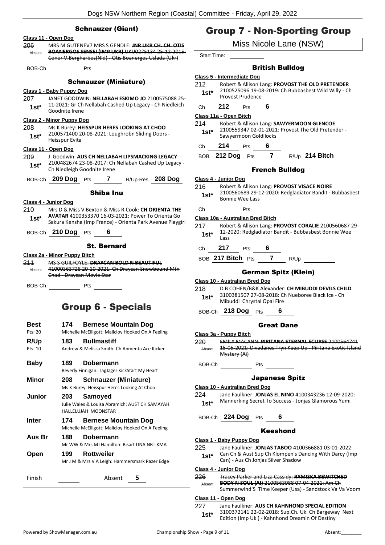### Schnauzer (Giant) **Class 11 - Open Dog** 206 MRS M GUTENEV7 MRS S GENDLE: **JNR UKR CH. CH. OTIS BOANERGOS SENSEI (IMP UKR)** UKU0275134 25-12-2015: Conor V.Bergherbos(Nld) - Otis Boanergos Uslada (Ukr) Absent BOB-Ch Pts Schnauzer (Miniature) **Class 1 - Baby Puppy Dog** 207 JANET GOODWIN: **NELLABAH ESKIMO JO** 2100575088 25- 11-2021: Gr Ch Nellabah Cashed Up Legacy - Ch Niedleich 1st<sup>\*</sup> <sup>11-2021: Gr Cn</sup><br>Goodnite Irene **Class 2 - Minor Puppy Dog** 208 Ms K Burey: **HEISSPUR HERES LOOKING AT CHOO** 2100571400 20-08-2021: Loughrobn Sliding Doors - Heisspur Evita **1st\* Class 11 - Open Dog** 209 J Goodwin: **AUS CH NELLABAH LIPSMACKING LEGACY** 2100482674 23-08-2017: Ch Nellabah Cashed Up Legacy - 1st\* 2100482674 23-08-2017: Ch<br>Ch Niedleigh Goodnite Irene BOB-Ch **209 Dog** Pts **7** R/Up-Res **208 Dog** Shiba Inu **Class 4 - Junior Dog** 210 Mrs D & Miss V Bexton & Miss R Cook: **CH ORIENTA THE AVATAR** 4100353370 16-03-2021: Power To Orienta Go Sakura Kensha (Imp France) - Orienta Park Avenue Playgirl **1st\*** BOB-Ch **210 Dog** Pts **6** St. Bernard **Class 2a - Minor Puppy Bitch** 211 MS S GUILFOYLE: **DRAYCAN BOLD N BEAUTIFUL** 41000363728 20-10-2021: Ch Draycan Snowbound Mtn Chad - Draycan Movie Star Absent BOB-Ch Pts

# Group 6 - Specials

| Best<br>Pts: 20<br>R/Up<br>Pts: 10 | 174<br><b>Bernese Mountain Dog</b><br>Michelle McElligott: Malicloy Hooked On A Feeling<br><b>Bullmastiff</b><br>183<br>Andrew & Melissa Smith: Ch Anmenta Ace Kicker |
|------------------------------------|-----------------------------------------------------------------------------------------------------------------------------------------------------------------------|
| Baby                               | Dobermann<br>189<br>Beverly Finnigan: TagJager KickStart My Heart                                                                                                     |
| Minor                              | <b>Schnauzer (Miniature)</b><br>208<br>Ms K Burey: Heisspur Heres Looking At Choo                                                                                     |
| Junior                             | Samoyed<br>203<br>Julie Wales & Louisa Abramich: AUST CH SAMAYAH<br>HALLELUJAH MOONSTAR                                                                               |
| Inter                              | <b>Bernese Mountain Dog</b><br>174<br>Michelle McElligott: Malicloy Hooked On A Feeling                                                                               |
| Aus Br                             | Dobermann<br>188.<br>Mr WW & Mrs MJ Hamilton: Bisart DNA NBT KMA                                                                                                      |
| Open                               | <b>Rottweiler</b><br>199<br>Mr J M & Mrs V A Leigh: Hammersmark Razer Edge                                                                                            |
| Finish                             | Absent<br>5                                                                                                                                                           |

# Group 7 - Non-Sporting Group

#### Miss Nicole Lane (NSW)

Start Time:

#### British Bulldog

#### **Class 5 - Intermediate Dog**

212 Robert & Allison Lang: **PROVOST THE OLD PRETENDER** 2100525096 19-08-2019: Ch Bubbasbest Wild Willy - Ch Provost Prudence **1st\***

### Ch **212** Pts **6**

#### **Class 11a - Open Bitch**

214 Robert & Allison Lang: **SAWYERMOON GLENCOE** 2100559347 02-01-2021: Provost The Old Pretender - Sawyermoon Goldilocks **1st\***

Ch **214** Pts **6**

BOB **212 Dog** Pts **7** R/Up **214 Bitch**

#### French Bulldog

**Class 4 - Junior Dog**

- 216 Robert & Allison Lang: **PROVOST VISACE NOIRE**
	- 2100560689 29-12-2020: Redgladiator Bandit Bubbasbest 1st<sup>\*</sup> <sup>2100560689</sup><br>Bonnie Wee Lass

# Ch Pts

- **Class 10a - Australian Bred Bitch**
- 217 Robert & Allison Lang: **PROVOST CORALIE** 2100560687 29- 12-2020: Redgladiator Bandit - Bubbasbest Bonnie Wee **1st**\*  $\frac{12-2}{1855}$
- Ch **217** Pts **6**
- BOB **217 Bitch** Pts **7** R/Up

#### German Spitz (Klein)

#### **Class 10 - Australian Bred Dog**

218 D B COHEN/B&K Alexander: **CH MIBUDDI DEVILS CHILD** 3100381507 27-08-2018: Ch Nueboree Black Ice - Ch 1st\* <sup>3100381507</sup> 27-08-2018: C<br>Mibuddi Chrystal Opal Fire

BOB-Ch **218 Dog** Pts **6**

#### Great Dane

**Class 3a - Puppy Bitch** 220 EMILY MACANN: **PIRITANA ETERNAL ECLIPSE** 2100564741 15-05-2021: Divadanes Tryn Keep Up - Piritana Exotic Island Mystery (Ai) Absent BOB-Ch Pts Japanese Spitz

#### **Class 10 - Australian Bred Dog**

- 224 Jane Faulkner: **JONJAS EL NINO** 4100343236 12-09-2020: Mannerking Secret To Success - Jonjas Glamorous Yumi **1st\***
- BOB-Ch **224 Dog** Pts **6**

#### Keeshond

#### **Class 1 - Baby Puppy Dog**

225 Jane Faulkner: **JONJAS TABOO** 4100366881 03-01-2022: Can Ch & Aust Sup Ch Klompen's Dancing With Darcy (Imp **1st**\* Can Ch & Aust Sup Ch Klompen's D<br>Can) - Aus Ch Jonjas Silver Shadow

#### **Class 4 - Junior Dog**

226 Tracey Parker and Liza Cassidy: **RYMISKA BEWITCHED BODY N SOUL (AI)** 2100563988 07-04-2021: Am Ch Summerwind'S Time Keeper (Usa) - Sandstock Va Va Voom Absent

#### **Class 11 - Open Dog**

227 Jane Faulkner: **AUS CH KAHNHOND SPECIAL EDITION** 3100372141 22-02-2018: Sup.Ch. Uk. Ch Bargeway Next Edition (Imp Uk ) - Kahnhond Dreamin Of Destiny **1st\***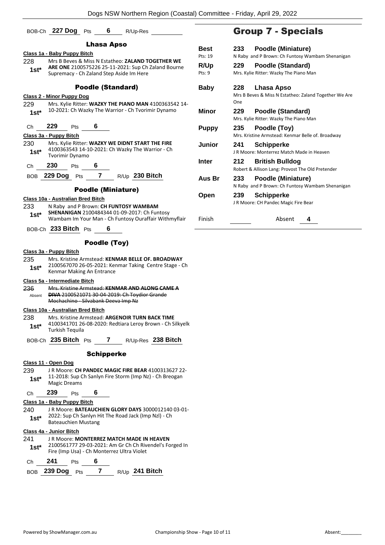|                | BOB-Ch 227 Dog                    | Pts                       | 6            | R/Up-Res                                                                                                                                             |                |     | <b>Group 7</b>                         |
|----------------|-----------------------------------|---------------------------|--------------|------------------------------------------------------------------------------------------------------------------------------------------------------|----------------|-----|----------------------------------------|
|                |                                   |                           | Lhasa Apso   |                                                                                                                                                      | <b>Best</b>    | 233 | Poodle                                 |
|                | Class 1a - Baby Puppy Bitch       |                           |              |                                                                                                                                                      | Pts: 19        |     | N Raby and P Brow                      |
| 228<br>$1st*$  |                                   |                           |              | Mrs B Beves & Miss N Estatheo: ZALAND TOGETHER WE<br>ARE ONE 2100575226 25-11-2021: Sup Ch Zaland Bourne<br>Supremacy - Ch Zaland Step Aside Im Here | R/Up<br>Pts: 9 | 229 | Poodle<br>Mrs. Kylie Ritter: W         |
|                |                                   | <b>Poodle (Standard)</b>  |              |                                                                                                                                                      | <b>Baby</b>    | 228 | Lhasa                                  |
|                | <b>Class 2 - Minor Puppy Dog</b>  |                           |              |                                                                                                                                                      |                | One | Mrs B Beves & Miss                     |
| 229<br>$1st*$  |                                   |                           |              | Mrs. Kylie Ritter: WAZKY THE PIANO MAN 4100363542 14-<br>10-2021: Ch Wazky The Warrior - Ch Tvorimir Dynamo                                          | <b>Minor</b>   | 229 | Poodle<br>Mrs. Kylie Ritter: W         |
| Ch             | 229<br>Class 3a - Puppy Bitch     | 6<br>Pts                  |              |                                                                                                                                                      | <b>Puppy</b>   | 235 | Poodle<br>Mrs. Kristine Armste         |
| 230<br>$1st*$  | <b>Tvorimir Dynamo</b>            |                           |              | Mrs. Kylie Ritter: WAZKY WE DIDNT START THE FIRE<br>4100363543 14-10-2021: Ch Wazky The Warrior - Ch                                                 | Junior         | 241 | Schipp<br>J R Moore: Monterr           |
| Ch             | 230                               | 6<br>Pts                  |              |                                                                                                                                                      | <b>Inter</b>   | 212 | <b>British</b><br>Robert & Allison Lar |
|                | <b>BOB</b> 229 Dog                | Pts                       |              | 7 $R/Up$ 230 Bitch                                                                                                                                   | Aus Br         | 233 | Poodle<br>N Raby and P Brow            |
|                |                                   | <b>Poodle (Miniature)</b> |              |                                                                                                                                                      | Open           | 239 | Schipp                                 |
| 233            | Class 10a - Australian Bred Bitch |                           |              | N Raby and P Brown: CH FUNTOSY WAMBAM                                                                                                                |                |     | J R Moore: CH Pand                     |
| 1st*           |                                   |                           |              | SHENANIGAN 2100484344 01-09-2017: Ch Funtosy<br>Wambam Im Your Man - Ch Funtosy Ouraffair Withmyflair                                                | Finish         |     |                                        |
|                | BOB-Ch 233 Bitch Pts              |                           | 6            |                                                                                                                                                      |                |     |                                        |
|                |                                   |                           | Poodle (Toy) |                                                                                                                                                      |                |     |                                        |
|                | Class 3a - Puppy Bitch            |                           |              |                                                                                                                                                      |                |     |                                        |
| 235<br>1st*    | Kenmar Making An Entrance         |                           |              | Mrs. Kristine Armstead: KENMAR BELLE OF. BROADWAY<br>2100567070 26-05-2021: Kenmar Taking Centre Stage - Ch                                          |                |     |                                        |
|                | Class 5a - Intermediate Bitch     |                           |              |                                                                                                                                                      |                |     |                                        |
| 236<br>Absent  | Mochachino Silvabank Deeva Imp Nz |                           |              | Mrs. Kristine Armstead: KENMAR AND ALONG CAME A<br><b>DIVA 2100521071 30-04-2019: Ch Toydior Grande</b>                                              |                |     |                                        |
|                | Class 10a - Australian Bred Bitch |                           |              |                                                                                                                                                      |                |     |                                        |
| 238.<br>$1st*$ | <b>Turkish Tequila</b>            |                           |              | Mrs. Kristine Armstead: ARGENOIR TURN BACK TIME<br>4100341701 26-08-2020: Redtiara Leroy Brown - Ch Silkyelk                                         |                |     |                                        |
|                |                                   |                           |              | BOB-Ch 235 Bitch Pts 7 R/Up-Res 238 Bitch                                                                                                            |                |     |                                        |
|                |                                   |                           |              |                                                                                                                                                      |                |     |                                        |

239 J R Moore: **CH PANDEC MAGIC FIRE BEAR** 4100313627 22- 11-2018: Sup Ch Sanlyn Fire Storm (Imp Nz) - Ch Breogan **1st**\* 11-2018: Sup C<br>Magic Dreams

Ch **239** Pts **6**

**Class 1a - Baby Puppy Bitch**

240 J R Moore: **BATEAUCHIEN GLORY DAYS** 3000012140 03-01- 2022: Sup Ch Sanlyn Hit The Road Jack (Imp Nzl) - Ch **1st**\* <sup>2022:</sup> Sup Ch Saniyn H<br>Bateauchien Mustang

#### **Class 4a - Junior Bitch**

241 J R Moore: **MONTERREZ MATCH MADE IN HEAVEN** 2100561777 29-03-2021: Am Gr Ch Ch Rivendel's Forged In Fire (Imp Usa) - Ch Monterrez Ultra Violet **1st\*** Ch **241** Pts **6**

| BOB 239 Dog Pts |  | R/Up 241 Bitch |
|-----------------|--|----------------|
|                 |  |                |

# - Specials

| Best                  | 233                                              | Poodle (Miniature)                                                         |  |  |
|-----------------------|--------------------------------------------------|----------------------------------------------------------------------------|--|--|
| Pts: 19               | N Raby and P Brown: Ch Funtosy Wambam Shenanigan |                                                                            |  |  |
| <b>R/Up</b><br>Pts: 9 | 229                                              | Poodle (Standard)<br>Mrs. Kylie Ritter: Wazky The Piano Man                |  |  |
| Baby                  | 228<br>One                                       | Lhasa Apso<br>Mrs B Beves & Miss N Estatheo: Zaland Together We Are        |  |  |
| Minor                 | 229                                              | Poodle (Standard)<br>Mrs. Kylie Ritter: Wazky The Piano Man                |  |  |
| <b>Puppy</b>          | 235                                              | Poodle (Toy)<br>Mrs. Kristine Armstead: Kenmar Belle of. Broadway          |  |  |
| Junior                | 241                                              | <b>Schipperke</b><br>LR Moore: Monterrez Match Made in Heaven              |  |  |
| Inter                 | 212                                              | <b>British Bulldog</b><br>Robert & Allison Lang: Provost The Old Pretender |  |  |
| Aus Br                | 233                                              | Poodle (Miniature)<br>N Raby and P Brown: Ch Funtosy Wambam Shenanigan     |  |  |
| Open                  | 239                                              | <b>Schipperke</b><br>J R Moore: CH Pandec Magic Fire Bear                  |  |  |

Absent 4